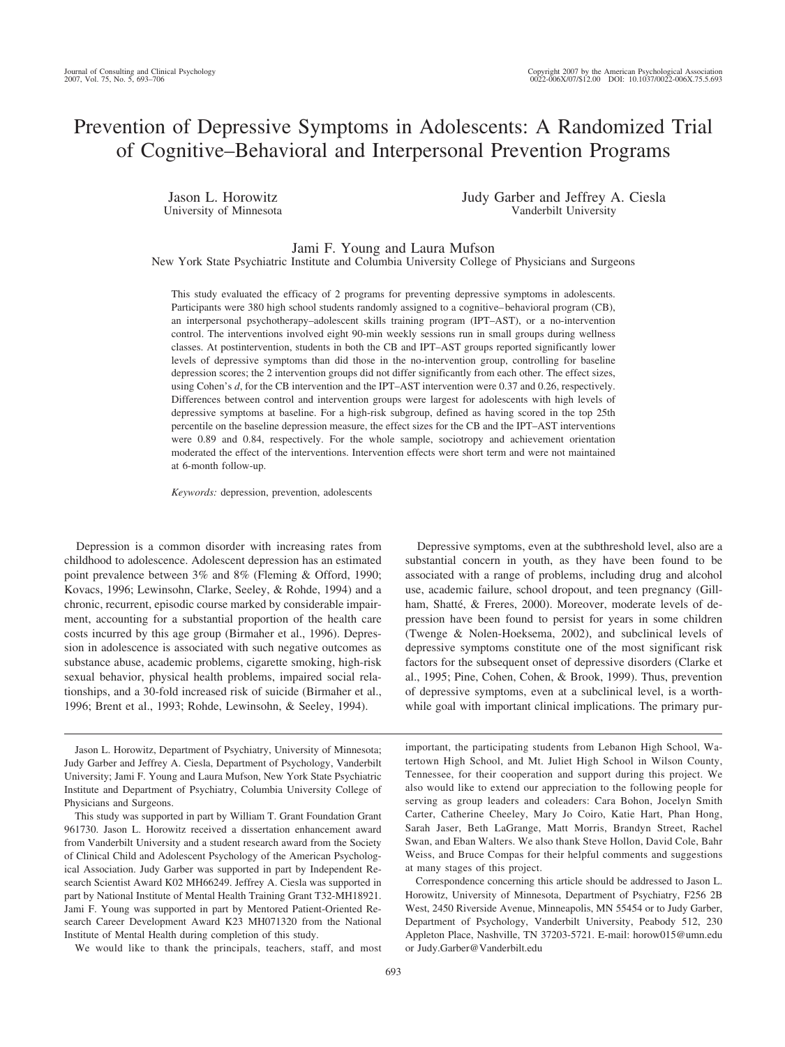# Prevention of Depressive Symptoms in Adolescents: A Randomized Trial of Cognitive–Behavioral and Interpersonal Prevention Programs

Jason L. Horowitz University of Minnesota Judy Garber and Jeffrey A. Ciesla Vanderbilt University

Jami F. Young and Laura Mufson

New York State Psychiatric Institute and Columbia University College of Physicians and Surgeons

This study evaluated the efficacy of 2 programs for preventing depressive symptoms in adolescents. Participants were 380 high school students randomly assigned to a cognitive– behavioral program (CB), an interpersonal psychotherapy–adolescent skills training program (IPT–AST), or a no-intervention control. The interventions involved eight 90-min weekly sessions run in small groups during wellness classes. At postintervention, students in both the CB and IPT–AST groups reported significantly lower levels of depressive symptoms than did those in the no-intervention group, controlling for baseline depression scores; the 2 intervention groups did not differ significantly from each other. The effect sizes, using Cohen's *d*, for the CB intervention and the IPT–AST intervention were 0.37 and 0.26, respectively. Differences between control and intervention groups were largest for adolescents with high levels of depressive symptoms at baseline. For a high-risk subgroup, defined as having scored in the top 25th percentile on the baseline depression measure, the effect sizes for the CB and the IPT–AST interventions were 0.89 and 0.84, respectively. For the whole sample, sociotropy and achievement orientation moderated the effect of the interventions. Intervention effects were short term and were not maintained at 6-month follow-up.

*Keywords:* depression, prevention, adolescents

Depression is a common disorder with increasing rates from childhood to adolescence. Adolescent depression has an estimated point prevalence between 3% and 8% (Fleming & Offord, 1990; Kovacs, 1996; Lewinsohn, Clarke, Seeley, & Rohde, 1994) and a chronic, recurrent, episodic course marked by considerable impairment, accounting for a substantial proportion of the health care costs incurred by this age group (Birmaher et al., 1996). Depression in adolescence is associated with such negative outcomes as substance abuse, academic problems, cigarette smoking, high-risk sexual behavior, physical health problems, impaired social relationships, and a 30-fold increased risk of suicide (Birmaher et al., 1996; Brent et al., 1993; Rohde, Lewinsohn, & Seeley, 1994).

Jason L. Horowitz, Department of Psychiatry, University of Minnesota; Judy Garber and Jeffrey A. Ciesla, Department of Psychology, Vanderbilt University; Jami F. Young and Laura Mufson, New York State Psychiatric Institute and Department of Psychiatry, Columbia University College of Physicians and Surgeons.

This study was supported in part by William T. Grant Foundation Grant 961730. Jason L. Horowitz received a dissertation enhancement award from Vanderbilt University and a student research award from the Society of Clinical Child and Adolescent Psychology of the American Psychological Association. Judy Garber was supported in part by Independent Research Scientist Award K02 MH66249. Jeffrey A. Ciesla was supported in part by National Institute of Mental Health Training Grant T32-MH18921. Jami F. Young was supported in part by Mentored Patient-Oriented Research Career Development Award K23 MH071320 from the National Institute of Mental Health during completion of this study.

We would like to thank the principals, teachers, staff, and most

693

Depressive symptoms, even at the subthreshold level, also are a substantial concern in youth, as they have been found to be associated with a range of problems, including drug and alcohol use, academic failure, school dropout, and teen pregnancy (Gillham, Shatté, & Freres, 2000). Moreover, moderate levels of depression have been found to persist for years in some children (Twenge & Nolen-Hoeksema, 2002), and subclinical levels of depressive symptoms constitute one of the most significant risk factors for the subsequent onset of depressive disorders (Clarke et al., 1995; Pine, Cohen, Cohen, & Brook, 1999). Thus, prevention of depressive symptoms, even at a subclinical level, is a worthwhile goal with important clinical implications. The primary pur-

important, the participating students from Lebanon High School, Watertown High School, and Mt. Juliet High School in Wilson County, Tennessee, for their cooperation and support during this project. We also would like to extend our appreciation to the following people for serving as group leaders and coleaders: Cara Bohon, Jocelyn Smith Carter, Catherine Cheeley, Mary Jo Coiro, Katie Hart, Phan Hong, Sarah Jaser, Beth LaGrange, Matt Morris, Brandyn Street, Rachel Swan, and Eban Walters. We also thank Steve Hollon, David Cole, Bahr Weiss, and Bruce Compas for their helpful comments and suggestions at many stages of this project.

Correspondence concerning this article should be addressed to Jason L. Horowitz, University of Minnesota, Department of Psychiatry, F256 2B West, 2450 Riverside Avenue, Minneapolis, MN 55454 or to Judy Garber, Department of Psychology, Vanderbilt University, Peabody 512, 230 Appleton Place, Nashville, TN 37203-5721. E-mail: horow015@umn.edu or Judy.Garber@Vanderbilt.edu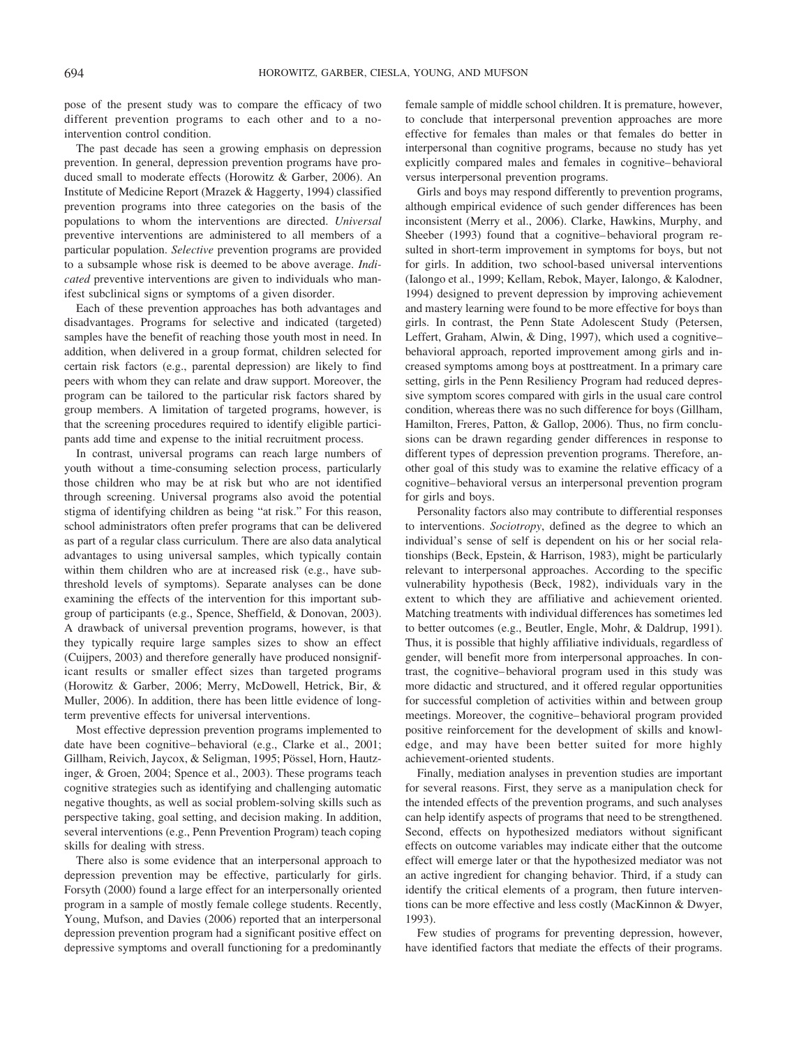pose of the present study was to compare the efficacy of two different prevention programs to each other and to a nointervention control condition.

The past decade has seen a growing emphasis on depression prevention. In general, depression prevention programs have produced small to moderate effects (Horowitz & Garber, 2006). An Institute of Medicine Report (Mrazek & Haggerty, 1994) classified prevention programs into three categories on the basis of the populations to whom the interventions are directed. *Universal* preventive interventions are administered to all members of a particular population. *Selective* prevention programs are provided to a subsample whose risk is deemed to be above average. *Indicated* preventive interventions are given to individuals who manifest subclinical signs or symptoms of a given disorder.

Each of these prevention approaches has both advantages and disadvantages. Programs for selective and indicated (targeted) samples have the benefit of reaching those youth most in need. In addition, when delivered in a group format, children selected for certain risk factors (e.g., parental depression) are likely to find peers with whom they can relate and draw support. Moreover, the program can be tailored to the particular risk factors shared by group members. A limitation of targeted programs, however, is that the screening procedures required to identify eligible participants add time and expense to the initial recruitment process.

In contrast, universal programs can reach large numbers of youth without a time-consuming selection process, particularly those children who may be at risk but who are not identified through screening. Universal programs also avoid the potential stigma of identifying children as being "at risk." For this reason, school administrators often prefer programs that can be delivered as part of a regular class curriculum. There are also data analytical advantages to using universal samples, which typically contain within them children who are at increased risk (e.g., have subthreshold levels of symptoms). Separate analyses can be done examining the effects of the intervention for this important subgroup of participants (e.g., Spence, Sheffield, & Donovan, 2003). A drawback of universal prevention programs, however, is that they typically require large samples sizes to show an effect (Cuijpers, 2003) and therefore generally have produced nonsignificant results or smaller effect sizes than targeted programs (Horowitz & Garber, 2006; Merry, McDowell, Hetrick, Bir, & Muller, 2006). In addition, there has been little evidence of longterm preventive effects for universal interventions.

Most effective depression prevention programs implemented to date have been cognitive– behavioral (e.g., Clarke et al., 2001; Gillham, Reivich, Jaycox, & Seligman, 1995; Pössel, Horn, Hautzinger, & Groen, 2004; Spence et al., 2003). These programs teach cognitive strategies such as identifying and challenging automatic negative thoughts, as well as social problem-solving skills such as perspective taking, goal setting, and decision making. In addition, several interventions (e.g., Penn Prevention Program) teach coping skills for dealing with stress.

There also is some evidence that an interpersonal approach to depression prevention may be effective, particularly for girls. Forsyth (2000) found a large effect for an interpersonally oriented program in a sample of mostly female college students. Recently, Young, Mufson, and Davies (2006) reported that an interpersonal depression prevention program had a significant positive effect on depressive symptoms and overall functioning for a predominantly female sample of middle school children. It is premature, however, to conclude that interpersonal prevention approaches are more effective for females than males or that females do better in interpersonal than cognitive programs, because no study has yet explicitly compared males and females in cognitive– behavioral versus interpersonal prevention programs.

Girls and boys may respond differently to prevention programs, although empirical evidence of such gender differences has been inconsistent (Merry et al., 2006). Clarke, Hawkins, Murphy, and Sheeber (1993) found that a cognitive– behavioral program resulted in short-term improvement in symptoms for boys, but not for girls. In addition, two school-based universal interventions (Ialongo et al., 1999; Kellam, Rebok, Mayer, Ialongo, & Kalodner, 1994) designed to prevent depression by improving achievement and mastery learning were found to be more effective for boys than girls. In contrast, the Penn State Adolescent Study (Petersen, Leffert, Graham, Alwin, & Ding, 1997), which used a cognitive– behavioral approach, reported improvement among girls and increased symptoms among boys at posttreatment. In a primary care setting, girls in the Penn Resiliency Program had reduced depressive symptom scores compared with girls in the usual care control condition, whereas there was no such difference for boys (Gillham, Hamilton, Freres, Patton, & Gallop, 2006). Thus, no firm conclusions can be drawn regarding gender differences in response to different types of depression prevention programs. Therefore, another goal of this study was to examine the relative efficacy of a cognitive– behavioral versus an interpersonal prevention program for girls and boys.

Personality factors also may contribute to differential responses to interventions. *Sociotropy*, defined as the degree to which an individual's sense of self is dependent on his or her social relationships (Beck, Epstein, & Harrison, 1983), might be particularly relevant to interpersonal approaches. According to the specific vulnerability hypothesis (Beck, 1982), individuals vary in the extent to which they are affiliative and achievement oriented. Matching treatments with individual differences has sometimes led to better outcomes (e.g., Beutler, Engle, Mohr, & Daldrup, 1991). Thus, it is possible that highly affiliative individuals, regardless of gender, will benefit more from interpersonal approaches. In contrast, the cognitive– behavioral program used in this study was more didactic and structured, and it offered regular opportunities for successful completion of activities within and between group meetings. Moreover, the cognitive– behavioral program provided positive reinforcement for the development of skills and knowledge, and may have been better suited for more highly achievement-oriented students.

Finally, mediation analyses in prevention studies are important for several reasons. First, they serve as a manipulation check for the intended effects of the prevention programs, and such analyses can help identify aspects of programs that need to be strengthened. Second, effects on hypothesized mediators without significant effects on outcome variables may indicate either that the outcome effect will emerge later or that the hypothesized mediator was not an active ingredient for changing behavior. Third, if a study can identify the critical elements of a program, then future interventions can be more effective and less costly (MacKinnon & Dwyer, 1993).

Few studies of programs for preventing depression, however, have identified factors that mediate the effects of their programs.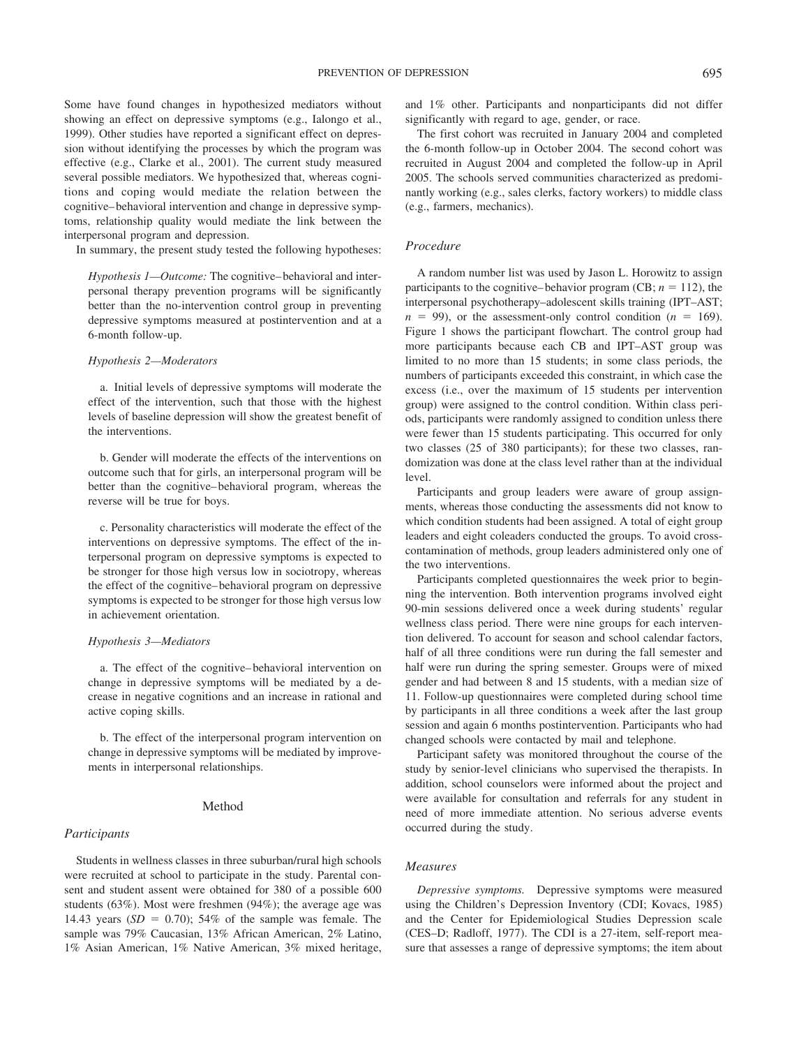Some have found changes in hypothesized mediators without showing an effect on depressive symptoms (e.g., Ialongo et al., 1999). Other studies have reported a significant effect on depression without identifying the processes by which the program was effective (e.g., Clarke et al., 2001). The current study measured several possible mediators. We hypothesized that, whereas cognitions and coping would mediate the relation between the cognitive– behavioral intervention and change in depressive symptoms, relationship quality would mediate the link between the interpersonal program and depression.

In summary, the present study tested the following hypotheses:

*Hypothesis 1—Outcome:* The cognitive– behavioral and interpersonal therapy prevention programs will be significantly better than the no-intervention control group in preventing depressive symptoms measured at postintervention and at a 6-month follow-up.

## *Hypothesis 2—Moderators*

a. Initial levels of depressive symptoms will moderate the effect of the intervention, such that those with the highest levels of baseline depression will show the greatest benefit of the interventions.

b. Gender will moderate the effects of the interventions on outcome such that for girls, an interpersonal program will be better than the cognitive– behavioral program, whereas the reverse will be true for boys.

c. Personality characteristics will moderate the effect of the interventions on depressive symptoms. The effect of the interpersonal program on depressive symptoms is expected to be stronger for those high versus low in sociotropy, whereas the effect of the cognitive– behavioral program on depressive symptoms is expected to be stronger for those high versus low in achievement orientation.

## *Hypothesis 3—Mediators*

a. The effect of the cognitive– behavioral intervention on change in depressive symptoms will be mediated by a decrease in negative cognitions and an increase in rational and active coping skills.

b. The effect of the interpersonal program intervention on change in depressive symptoms will be mediated by improvements in interpersonal relationships.

# Method

#### *Participants*

Students in wellness classes in three suburban/rural high schools were recruited at school to participate in the study. Parental consent and student assent were obtained for 380 of a possible 600 students (63%). Most were freshmen (94%); the average age was 14.43 years  $(SD = 0.70)$ ; 54% of the sample was female. The sample was 79% Caucasian, 13% African American, 2% Latino, 1% Asian American, 1% Native American, 3% mixed heritage, and 1% other. Participants and nonparticipants did not differ significantly with regard to age, gender, or race.

The first cohort was recruited in January 2004 and completed the 6-month follow-up in October 2004. The second cohort was recruited in August 2004 and completed the follow-up in April 2005. The schools served communities characterized as predominantly working (e.g., sales clerks, factory workers) to middle class (e.g., farmers, mechanics).

## *Procedure*

A random number list was used by Jason L. Horowitz to assign participants to the cognitive–behavior program (CB;  $n = 112$ ), the interpersonal psychotherapy–adolescent skills training (IPT–AST;  $n = 99$ ), or the assessment-only control condition ( $n = 169$ ). Figure 1 shows the participant flowchart. The control group had more participants because each CB and IPT–AST group was limited to no more than 15 students; in some class periods, the numbers of participants exceeded this constraint, in which case the excess (i.e., over the maximum of 15 students per intervention group) were assigned to the control condition. Within class periods, participants were randomly assigned to condition unless there were fewer than 15 students participating. This occurred for only two classes (25 of 380 participants); for these two classes, randomization was done at the class level rather than at the individual level.

Participants and group leaders were aware of group assignments, whereas those conducting the assessments did not know to which condition students had been assigned. A total of eight group leaders and eight coleaders conducted the groups. To avoid crosscontamination of methods, group leaders administered only one of the two interventions.

Participants completed questionnaires the week prior to beginning the intervention. Both intervention programs involved eight 90-min sessions delivered once a week during students' regular wellness class period. There were nine groups for each intervention delivered. To account for season and school calendar factors, half of all three conditions were run during the fall semester and half were run during the spring semester. Groups were of mixed gender and had between 8 and 15 students, with a median size of 11. Follow-up questionnaires were completed during school time by participants in all three conditions a week after the last group session and again 6 months postintervention. Participants who had changed schools were contacted by mail and telephone.

Participant safety was monitored throughout the course of the study by senior-level clinicians who supervised the therapists. In addition, school counselors were informed about the project and were available for consultation and referrals for any student in need of more immediate attention. No serious adverse events occurred during the study.

#### *Measures*

*Depressive symptoms.* Depressive symptoms were measured using the Children's Depression Inventory (CDI; Kovacs, 1985) and the Center for Epidemiological Studies Depression scale (CES–D; Radloff, 1977). The CDI is a 27-item, self-report measure that assesses a range of depressive symptoms; the item about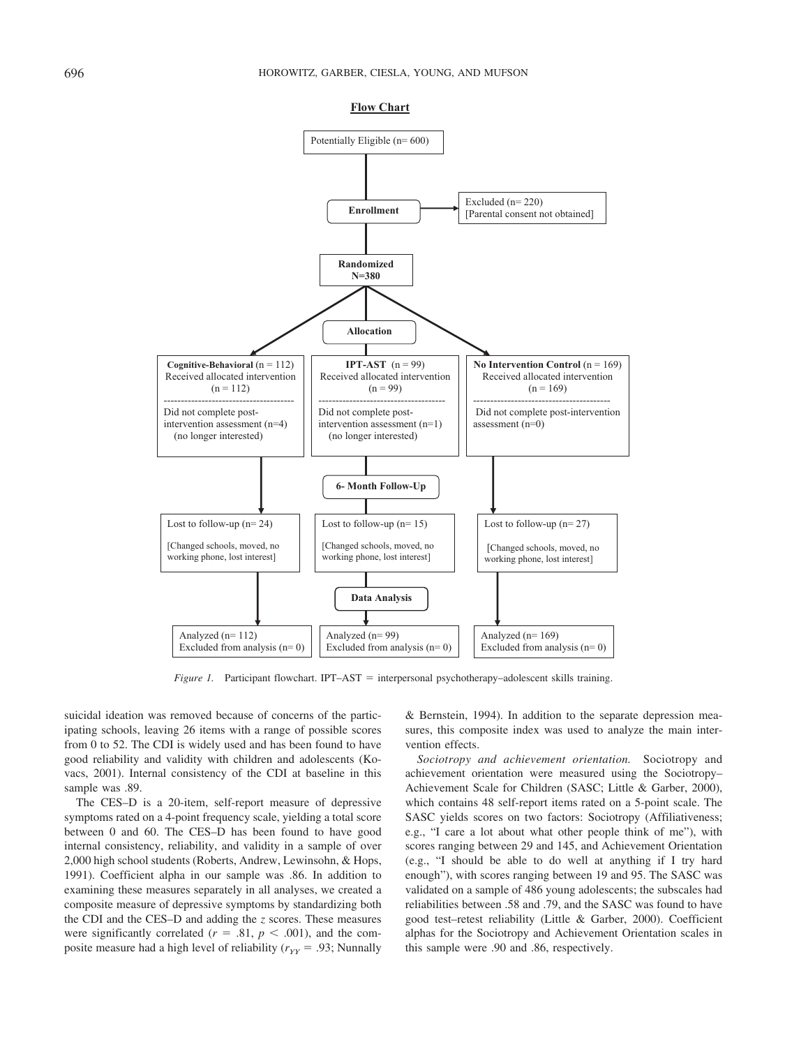

**Flow Chart**

*Figure 1.* Participant flowchart. IPT–AST = interpersonal psychotherapy–adolescent skills training.

suicidal ideation was removed because of concerns of the participating schools, leaving 26 items with a range of possible scores from 0 to 52. The CDI is widely used and has been found to have good reliability and validity with children and adolescents (Kovacs, 2001). Internal consistency of the CDI at baseline in this sample was .89.

The CES–D is a 20-item, self-report measure of depressive symptoms rated on a 4-point frequency scale, yielding a total score between 0 and 60. The CES–D has been found to have good internal consistency, reliability, and validity in a sample of over 2,000 high school students (Roberts, Andrew, Lewinsohn, & Hops, 1991). Coefficient alpha in our sample was .86. In addition to examining these measures separately in all analyses, we created a composite measure of depressive symptoms by standardizing both the CDI and the CES–D and adding the *z* scores. These measures were significantly correlated ( $r = .81$ ,  $p < .001$ ), and the composite measure had a high level of reliability  $(r_{YY} = .93;$  Nunnally

& Bernstein, 1994). In addition to the separate depression measures, this composite index was used to analyze the main intervention effects.

*Sociotropy and achievement orientation.* Sociotropy and achievement orientation were measured using the Sociotropy– Achievement Scale for Children (SASC; Little & Garber, 2000), which contains 48 self-report items rated on a 5-point scale. The SASC yields scores on two factors: Sociotropy (Affiliativeness; e.g., "I care a lot about what other people think of me"), with scores ranging between 29 and 145, and Achievement Orientation (e.g., "I should be able to do well at anything if I try hard enough"), with scores ranging between 19 and 95. The SASC was validated on a sample of 486 young adolescents; the subscales had reliabilities between .58 and .79, and the SASC was found to have good test–retest reliability (Little & Garber, 2000). Coefficient alphas for the Sociotropy and Achievement Orientation scales in this sample were .90 and .86, respectively.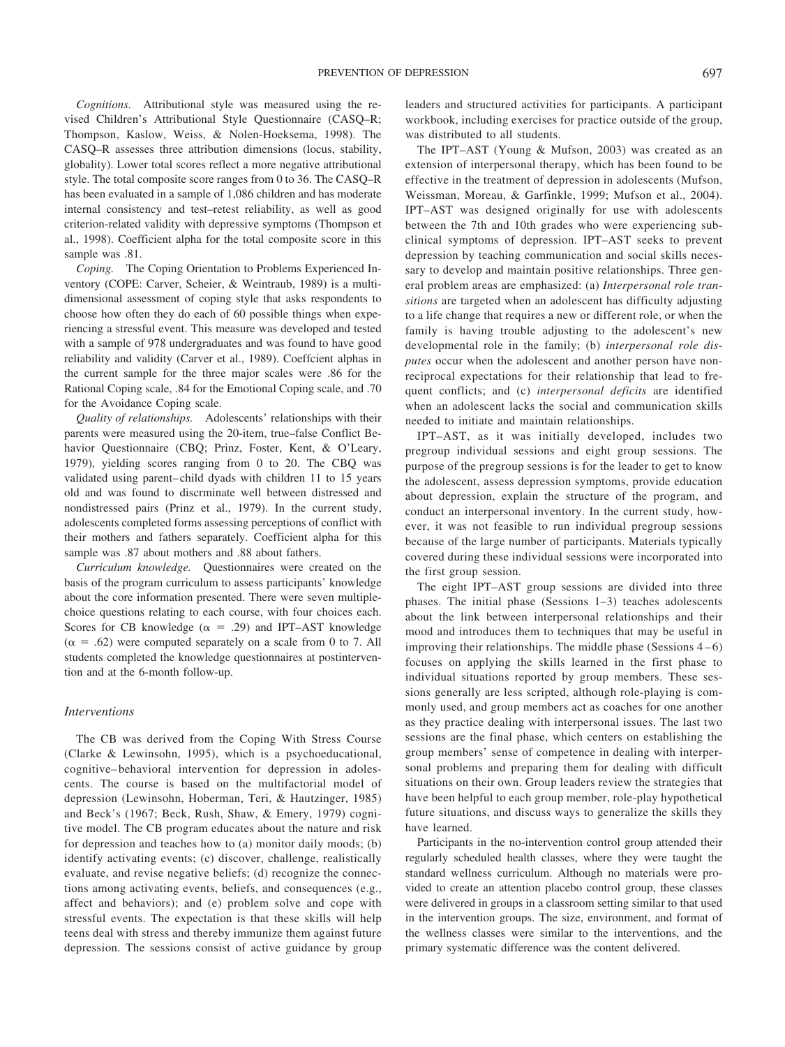*Cognitions.* Attributional style was measured using the revised Children's Attributional Style Questionnaire (CASQ–R; Thompson, Kaslow, Weiss, & Nolen-Hoeksema, 1998). The CASQ–R assesses three attribution dimensions (locus, stability, globality). Lower total scores reflect a more negative attributional style. The total composite score ranges from 0 to 36. The CASQ–R has been evaluated in a sample of 1,086 children and has moderate internal consistency and test–retest reliability, as well as good criterion-related validity with depressive symptoms (Thompson et al., 1998). Coefficient alpha for the total composite score in this sample was .81.

*Coping.* The Coping Orientation to Problems Experienced Inventory (COPE: Carver, Scheier, & Weintraub, 1989) is a multidimensional assessment of coping style that asks respondents to choose how often they do each of 60 possible things when experiencing a stressful event. This measure was developed and tested with a sample of 978 undergraduates and was found to have good reliability and validity (Carver et al., 1989). Coeffcient alphas in the current sample for the three major scales were .86 for the Rational Coping scale, .84 for the Emotional Coping scale, and .70 for the Avoidance Coping scale.

*Quality of relationships.* Adolescents' relationships with their parents were measured using the 20-item, true–false Conflict Behavior Questionnaire (CBQ; Prinz, Foster, Kent, & O'Leary, 1979), yielding scores ranging from 0 to 20. The CBQ was validated using parent– child dyads with children 11 to 15 years old and was found to discrminate well between distressed and nondistressed pairs (Prinz et al., 1979). In the current study, adolescents completed forms assessing perceptions of conflict with their mothers and fathers separately. Coefficient alpha for this sample was .87 about mothers and .88 about fathers.

*Curriculum knowledge.* Questionnaires were created on the basis of the program curriculum to assess participants' knowledge about the core information presented. There were seven multiplechoice questions relating to each course, with four choices each. Scores for CB knowledge ( $\alpha$  = .29) and IPT–AST knowledge  $(\alpha = .62)$  were computed separately on a scale from 0 to 7. All students completed the knowledge questionnaires at postintervention and at the 6-month follow-up.

## *Interventions*

The CB was derived from the Coping With Stress Course (Clarke & Lewinsohn, 1995), which is a psychoeducational, cognitive– behavioral intervention for depression in adolescents. The course is based on the multifactorial model of depression (Lewinsohn, Hoberman, Teri, & Hautzinger, 1985) and Beck's (1967; Beck, Rush, Shaw, & Emery, 1979) cognitive model. The CB program educates about the nature and risk for depression and teaches how to (a) monitor daily moods; (b) identify activating events; (c) discover, challenge, realistically evaluate, and revise negative beliefs; (d) recognize the connections among activating events, beliefs, and consequences (e.g., affect and behaviors); and (e) problem solve and cope with stressful events. The expectation is that these skills will help teens deal with stress and thereby immunize them against future depression. The sessions consist of active guidance by group leaders and structured activities for participants. A participant workbook, including exercises for practice outside of the group, was distributed to all students.

The IPT–AST (Young & Mufson, 2003) was created as an extension of interpersonal therapy, which has been found to be effective in the treatment of depression in adolescents (Mufson, Weissman, Moreau, & Garfinkle, 1999; Mufson et al., 2004). IPT–AST was designed originally for use with adolescents between the 7th and 10th grades who were experiencing subclinical symptoms of depression. IPT–AST seeks to prevent depression by teaching communication and social skills necessary to develop and maintain positive relationships. Three general problem areas are emphasized: (a) *Interpersonal role transitions* are targeted when an adolescent has difficulty adjusting to a life change that requires a new or different role, or when the family is having trouble adjusting to the adolescent's new developmental role in the family; (b) *interpersonal role disputes* occur when the adolescent and another person have nonreciprocal expectations for their relationship that lead to frequent conflicts; and (c) *interpersonal deficits* are identified when an adolescent lacks the social and communication skills needed to initiate and maintain relationships.

IPT–AST, as it was initially developed, includes two pregroup individual sessions and eight group sessions. The purpose of the pregroup sessions is for the leader to get to know the adolescent, assess depression symptoms, provide education about depression, explain the structure of the program, and conduct an interpersonal inventory. In the current study, however, it was not feasible to run individual pregroup sessions because of the large number of participants. Materials typically covered during these individual sessions were incorporated into the first group session.

The eight IPT–AST group sessions are divided into three phases. The initial phase (Sessions 1–3) teaches adolescents about the link between interpersonal relationships and their mood and introduces them to techniques that may be useful in improving their relationships. The middle phase (Sessions  $4-6$ ) focuses on applying the skills learned in the first phase to individual situations reported by group members. These sessions generally are less scripted, although role-playing is commonly used, and group members act as coaches for one another as they practice dealing with interpersonal issues. The last two sessions are the final phase, which centers on establishing the group members' sense of competence in dealing with interpersonal problems and preparing them for dealing with difficult situations on their own. Group leaders review the strategies that have been helpful to each group member, role-play hypothetical future situations, and discuss ways to generalize the skills they have learned.

Participants in the no-intervention control group attended their regularly scheduled health classes, where they were taught the standard wellness curriculum. Although no materials were provided to create an attention placebo control group, these classes were delivered in groups in a classroom setting similar to that used in the intervention groups. The size, environment, and format of the wellness classes were similar to the interventions, and the primary systematic difference was the content delivered.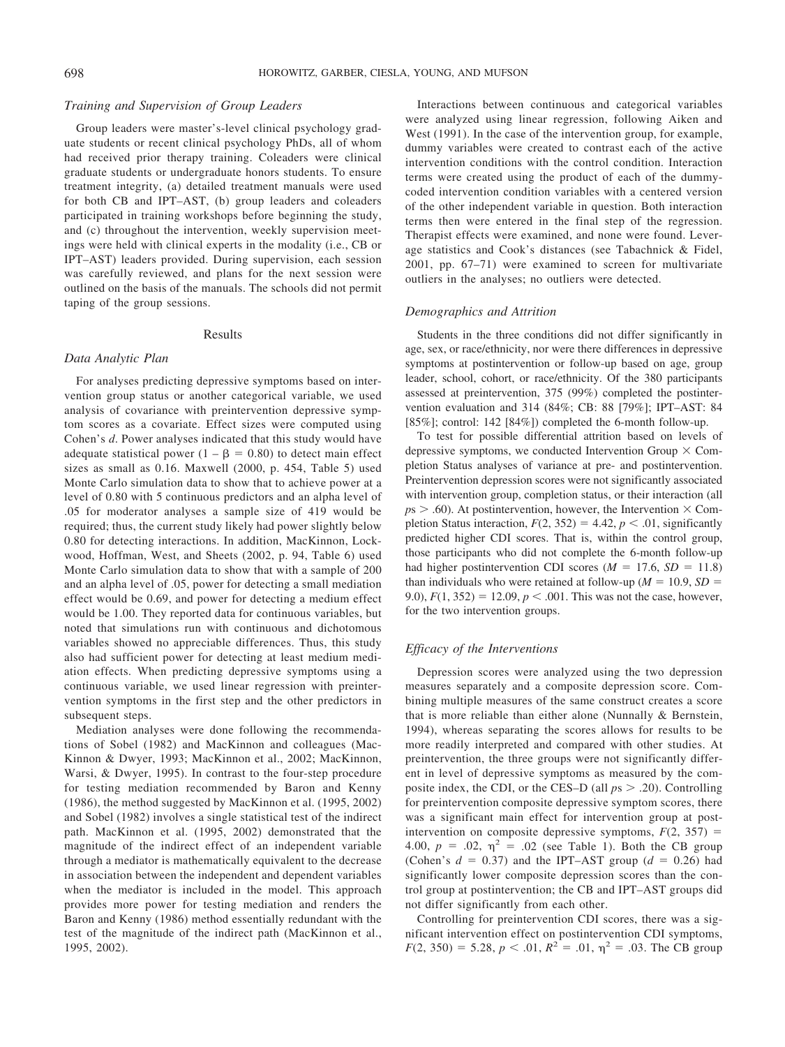#### *Training and Supervision of Group Leaders*

Group leaders were master's-level clinical psychology graduate students or recent clinical psychology PhDs, all of whom had received prior therapy training. Coleaders were clinical graduate students or undergraduate honors students. To ensure treatment integrity, (a) detailed treatment manuals were used for both CB and IPT–AST, (b) group leaders and coleaders participated in training workshops before beginning the study, and (c) throughout the intervention, weekly supervision meetings were held with clinical experts in the modality (i.e., CB or IPT–AST) leaders provided. During supervision, each session was carefully reviewed, and plans for the next session were outlined on the basis of the manuals. The schools did not permit taping of the group sessions.

#### Results

#### *Data Analytic Plan*

For analyses predicting depressive symptoms based on intervention group status or another categorical variable, we used analysis of covariance with preintervention depressive symptom scores as a covariate. Effect sizes were computed using Cohen's *d*. Power analyses indicated that this study would have adequate statistical power  $(1 - \beta = 0.80)$  to detect main effect sizes as small as 0.16. Maxwell (2000, p. 454, Table 5) used Monte Carlo simulation data to show that to achieve power at a level of 0.80 with 5 continuous predictors and an alpha level of .05 for moderator analyses a sample size of 419 would be required; thus, the current study likely had power slightly below 0.80 for detecting interactions. In addition, MacKinnon, Lockwood, Hoffman, West, and Sheets (2002, p. 94, Table 6) used Monte Carlo simulation data to show that with a sample of 200 and an alpha level of .05, power for detecting a small mediation effect would be 0.69, and power for detecting a medium effect would be 1.00. They reported data for continuous variables, but noted that simulations run with continuous and dichotomous variables showed no appreciable differences. Thus, this study also had sufficient power for detecting at least medium mediation effects. When predicting depressive symptoms using a continuous variable, we used linear regression with preintervention symptoms in the first step and the other predictors in subsequent steps.

Mediation analyses were done following the recommendations of Sobel (1982) and MacKinnon and colleagues (Mac-Kinnon & Dwyer, 1993; MacKinnon et al., 2002; MacKinnon, Warsi, & Dwyer, 1995). In contrast to the four-step procedure for testing mediation recommended by Baron and Kenny (1986), the method suggested by MacKinnon et al. (1995, 2002) and Sobel (1982) involves a single statistical test of the indirect path. MacKinnon et al. (1995, 2002) demonstrated that the magnitude of the indirect effect of an independent variable through a mediator is mathematically equivalent to the decrease in association between the independent and dependent variables when the mediator is included in the model. This approach provides more power for testing mediation and renders the Baron and Kenny (1986) method essentially redundant with the test of the magnitude of the indirect path (MacKinnon et al., 1995, 2002).

Interactions between continuous and categorical variables were analyzed using linear regression, following Aiken and West (1991). In the case of the intervention group, for example, dummy variables were created to contrast each of the active intervention conditions with the control condition. Interaction terms were created using the product of each of the dummycoded intervention condition variables with a centered version of the other independent variable in question. Both interaction terms then were entered in the final step of the regression. Therapist effects were examined, and none were found. Leverage statistics and Cook's distances (see Tabachnick & Fidel, 2001, pp. 67–71) were examined to screen for multivariate outliers in the analyses; no outliers were detected.

# *Demographics and Attrition*

Students in the three conditions did not differ significantly in age, sex, or race/ethnicity, nor were there differences in depressive symptoms at postintervention or follow-up based on age, group leader, school, cohort, or race/ethnicity. Of the 380 participants assessed at preintervention, 375 (99%) completed the postintervention evaluation and 314 (84%; CB: 88 [79%]; IPT–AST: 84 [85%]; control: 142 [84%]) completed the 6-month follow-up.

To test for possible differential attrition based on levels of depressive symptoms, we conducted Intervention Group  $\times$  Completion Status analyses of variance at pre- and postintervention. Preintervention depression scores were not significantly associated with intervention group, completion status, or their interaction (all  $p_s$   $>$  .60). At postintervention, however, the Intervention  $\times$  Completion Status interaction,  $F(2, 352) = 4.42$ ,  $p < .01$ , significantly predicted higher CDI scores. That is, within the control group, those participants who did not complete the 6-month follow-up had higher postintervention CDI scores  $(M = 17.6, SD = 11.8)$ than individuals who were retained at follow-up ( $M = 10.9$ ,  $SD =$ 9.0),  $F(1, 352) = 12.09$ ,  $p < .001$ . This was not the case, however, for the two intervention groups.

#### *Efficacy of the Interventions*

Depression scores were analyzed using the two depression measures separately and a composite depression score. Combining multiple measures of the same construct creates a score that is more reliable than either alone (Nunnally & Bernstein, 1994), whereas separating the scores allows for results to be more readily interpreted and compared with other studies. At preintervention, the three groups were not significantly different in level of depressive symptoms as measured by the composite index, the CDI, or the CES–D (all  $ps > .20$ ). Controlling for preintervention composite depressive symptom scores, there was a significant main effect for intervention group at postintervention on composite depressive symptoms,  $F(2, 357) =$ 4.00,  $p = .02$ ,  $\eta^2 = .02$  (see Table 1). Both the CB group (Cohen's  $d = 0.37$ ) and the IPT–AST group ( $d = 0.26$ ) had significantly lower composite depression scores than the control group at postintervention; the CB and IPT–AST groups did not differ significantly from each other.

Controlling for preintervention CDI scores, there was a significant intervention effect on postintervention CDI symptoms,  $F(2, 350) = 5.28, p < .01, R^2 = .01, \eta^2 = .03$ . The CB group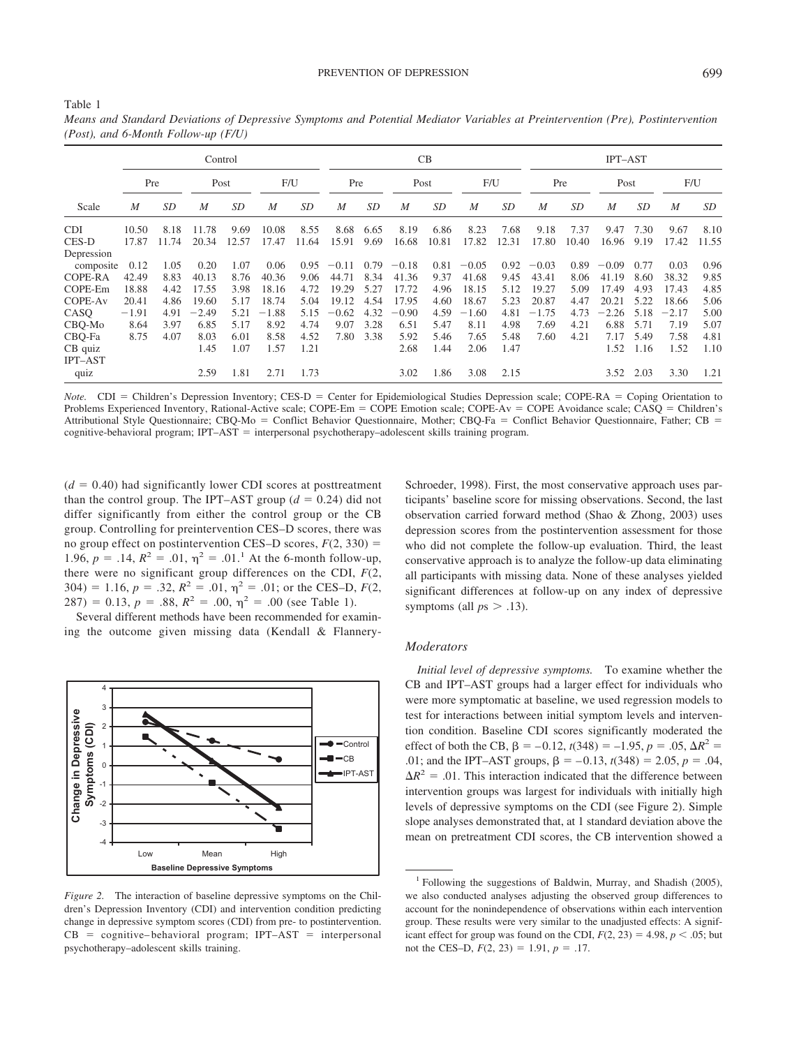#### PREVENTION OF DEPRESSION 699

Table 1

*Means and Standard Deviations of Depressive Symptoms and Potential Mediator Variables at Preintervention (Pre), Postintervention (Post), and 6-Month Follow-up (F/U)*

|                | Control |       |         |       |         |       | CB      |      |         |       |         |       | <b>IPT-AST</b> |       |         |      |         |       |
|----------------|---------|-------|---------|-------|---------|-------|---------|------|---------|-------|---------|-------|----------------|-------|---------|------|---------|-------|
|                | Pre     |       | Post    |       | F/U     |       | Pre     |      | Post    |       | F/U     |       | Pre            |       | Post    |      | F/U     |       |
| Scale          | M       | SD    | M       | SD    | M       | SD    | M       | SD   | M       | SD    | M       | SD    | M              | SD    | M       | SD   | M       | SD    |
| <b>CDI</b>     | 10.50   | 8.18  | 11.78   | 9.69  | 10.08   | 8.55  | 8.68    | 6.65 | 8.19    | 6.86  | 8.23    | 7.68  | 9.18           | 7.37  | 9.47    | 7.30 | 9.67    | 8.10  |
| CES-D          | 17.87   | 11.74 | 20.34   | 12.57 | 17.47   | 11.64 | 15.91   | 9.69 | 16.68   | 10.81 | 17.82   | 12.31 | 17.80          | 10.40 | 16.96   | 9.19 | 17.42   | 11.55 |
| Depression     |         |       |         |       |         |       |         |      |         |       |         |       |                |       |         |      |         |       |
| composite      | 0.12    | 1.05  | 0.20    | 1.07  | 0.06    | 0.95  | $-0.11$ | 0.79 | $-0.18$ | 0.81  | $-0.05$ | 0.92  | $-0.03$        | 0.89  | $-0.09$ | 0.77 | 0.03    | 0.96  |
| COPE-RA        | 42.49   | 8.83  | 40.13   | 8.76  | 40.36   | 9.06  | 44.71   | 8.34 | 41.36   | 9.37  | 41.68   | 9.45  | 43.41          | 8.06  | 41.19   | 8.60 | 38.32   | 9.85  |
| COPE-Em        | 18.88   | 4.42  | 17.55   | 3.98  | 18.16   | 4.72  | 19.29   | 5.27 | 17.72   | 4.96  | 18.15   | 5.12  | 19.27          | 5.09  | 17.49   | 4.93 | 17.43   | 4.85  |
| COPE-Av        | 20.41   | 4.86  | 19.60   | 5.17  | 18.74   | 5.04  | 19.12   | 4.54 | 17.95   | 4.60  | 18.67   | 5.23  | 20.87          | 4.47  | 20.21   | 5.22 | 18.66   | 5.06  |
| CASO           | $-1.91$ | 4.91  | $-2.49$ | 5.21  | $-1.88$ | 5.15  | $-0.62$ | 4.32 | $-0.90$ | 4.59  | $-1.60$ | 4.81  | $-1.75$        | 4.73  | $-2.26$ | 5.18 | $-2.17$ | 5.00  |
| CBQ-Mo         | 8.64    | 3.97  | 6.85    | 5.17  | 8.92    | 4.74  | 9.07    | 3.28 | 6.51    | 5.47  | 8.11    | 4.98  | 7.69           | 4.21  | 6.88    | 5.71 | 7.19    | 5.07  |
| CBQ-Fa         | 8.75    | 4.07  | 8.03    | 6.01  | 8.58    | 4.52  | 7.80    | 3.38 | 5.92    | 5.46  | 7.65    | 5.48  | 7.60           | 4.21  | 7.17    | 5.49 | 7.58    | 4.81  |
| CB quiz        |         |       | 1.45    | 1.07  | 1.57    | 1.21  |         |      | 2.68    | 1.44  | 2.06    | 1.47  |                |       | 1.52    | 1.16 | 1.52    | 1.10  |
| <b>IPT-AST</b> |         |       |         |       |         |       |         |      |         |       |         |       |                |       |         |      |         |       |
| quiz           |         |       | 2.59    | 1.81  | 2.71    | 1.73  |         |      | 3.02    | 1.86  | 3.08    | 2.15  |                |       | 3.52    | 2.03 | 3.30    | 1.21  |

*Note.* CDI = Children's Depression Inventory; CES-D = Center for Epidemiological Studies Depression scale; COPE-RA = Coping Orientation to Problems Experienced Inventory, Rational-Active scale; COPE-Em = COPE Emotion scale; COPE- $A$ v = COPE Avoidance scale; CASQ = Children's Attributional Style Questionnaire; CBQ-Mo = Conflict Behavior Questionnaire, Mother; CBQ-Fa = Conflict Behavior Questionnaire, Father; CB = cognitive-behavioral program; IPT–AST = interpersonal psychotherapy–adolescent skills training program.

 $(d = 0.40)$  had significantly lower CDI scores at posttreatment than the control group. The IPT–AST group  $(d = 0.24)$  did not differ significantly from either the control group or the CB group. Controlling for preintervention CES–D scores, there was no group effect on postintervention CES–D scores,  $F(2, 330) =$ 1.96,  $p = .14$ ,  $R^2 = .01$ ,  $\eta^2 = .01$ .<sup>1</sup> At the 6-month follow-up, there were no significant group differences on the CDI, *F*(2, 304) = 1.16,  $p = .32$ ,  $R^2 = .01$ ,  $\eta^2 = .01$ ; or the CES–D,  $F(2, 1)$ 287) = 0.13,  $p = .88$ ,  $R^2 = .00$ ,  $\eta^2 = .00$  (see Table 1).

Several different methods have been recommended for examining the outcome given missing data (Kendall & Flannery-



*Figure 2.* The interaction of baseline depressive symptoms on the Children's Depression Inventory (CDI) and intervention condition predicting change in depressive symptom scores (CDI) from pre- to postintervention.  $CB = cognitive-behaviour$  program; IPT–AST = interpersonal psychotherapy–adolescent skills training.

Schroeder, 1998). First, the most conservative approach uses participants' baseline score for missing observations. Second, the last observation carried forward method (Shao & Zhong, 2003) uses depression scores from the postintervention assessment for those who did not complete the follow-up evaluation. Third, the least conservative approach is to analyze the follow-up data eliminating all participants with missing data. None of these analyses yielded significant differences at follow-up on any index of depressive symptoms (all  $ps > .13$ ).

## *Moderators*

*Initial level of depressive symptoms.* To examine whether the CB and IPT–AST groups had a larger effect for individuals who were more symptomatic at baseline, we used regression models to test for interactions between initial symptom levels and intervention condition. Baseline CDI scores significantly moderated the effect of both the CB,  $\beta = -0.12$ ,  $t(348) = -1.95$ ,  $p = .05$ ,  $\Delta R^2 =$ .01; and the IPT–AST groups,  $\beta = -0.13$ ,  $t(348) = 2.05$ ,  $p = 0.04$ ,  $\Delta R^2$  = .01. This interaction indicated that the difference between intervention groups was largest for individuals with initially high levels of depressive symptoms on the CDI (see Figure 2). Simple slope analyses demonstrated that, at 1 standard deviation above the mean on pretreatment CDI scores, the CB intervention showed a

<sup>&</sup>lt;sup>1</sup> Following the suggestions of Baldwin, Murray, and Shadish (2005), we also conducted analyses adjusting the observed group differences to account for the nonindependence of observations within each intervention group. These results were very similar to the unadjusted effects: A significant effect for group was found on the CDI,  $F(2, 23) = 4.98$ ,  $p < .05$ ; but not the CES–D,  $F(2, 23) = 1.91$ ,  $p = .17$ .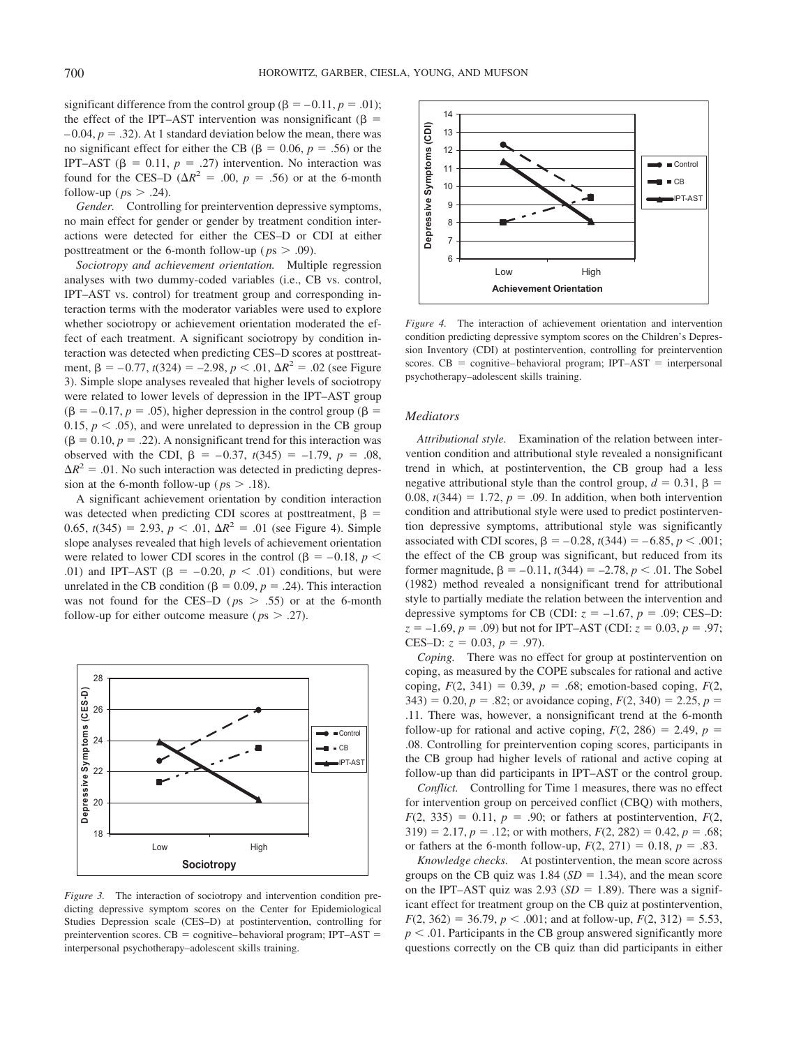significant difference from the control group  $(\beta = -0.11, p = .01)$ ; the effect of the IPT–AST intervention was nonsignificant ( $\beta$  =  $-0.04$ ,  $p = .32$ ). At 1 standard deviation below the mean, there was no significant effect for either the CB ( $\beta$  = 0.06,  $p$  = .56) or the IPT–AST  $(\beta = 0.11, p = .27)$  intervention. No interaction was found for the CES–D ( $\Delta R^2$  = .00, *p* = .56) or at the 6-month follow-up ( $ps > .24$ ).

*Gender.* Controlling for preintervention depressive symptoms, no main effect for gender or gender by treatment condition interactions were detected for either the CES–D or CDI at either posttreatment or the 6-month follow-up ( $p_s > .09$ ).

*Sociotropy and achievement orientation.* Multiple regression analyses with two dummy-coded variables (i.e., CB vs. control, IPT–AST vs. control) for treatment group and corresponding interaction terms with the moderator variables were used to explore whether sociotropy or achievement orientation moderated the effect of each treatment. A significant sociotropy by condition interaction was detected when predicting CES–D scores at posttreatment,  $\beta = -0.77$ ,  $t(324) = -2.98$ ,  $p < .01$ ,  $\Delta R^2 = .02$  (see Figure 3). Simple slope analyses revealed that higher levels of sociotropy were related to lower levels of depression in the IPT–AST group  $(\beta = -0.17, p = .05)$ , higher depression in the control group ( $\beta$  = 0.15,  $p < .05$ ), and were unrelated to depression in the CB group  $(\beta = 0.10, p = .22)$ . A nonsignificant trend for this interaction was observed with the CDI,  $\beta$  = -0.37,  $t(345)$  = -1.79,  $p = .08$ ,  $\Delta R^2 = .01$ . No such interaction was detected in predicting depression at the 6-month follow-up ( $p_s > .18$ ).

A significant achievement orientation by condition interaction was detected when predicting CDI scores at posttreatment,  $\beta$  = 0.65,  $t(345) = 2.93$ ,  $p < .01$ ,  $\Delta R^2 = .01$  (see Figure 4). Simple slope analyses revealed that high levels of achievement orientation were related to lower CDI scores in the control ( $\beta = -0.18$ ,  $p <$ .01) and IPT–AST ( $\beta$  = -0.20,  $p$  < .01) conditions, but were unrelated in the CB condition ( $\beta = 0.09$ ,  $p = .24$ ). This interaction was not found for the CES–D ( $ps > .55$ ) or at the 6-month follow-up for either outcome measure ( $p_s > .27$ ).



*Figure 3.* The interaction of sociotropy and intervention condition predicting depressive symptom scores on the Center for Epidemiological Studies Depression scale (CES–D) at postintervention, controlling for preintervention scores.  $CB =$  cognitive–behavioral program; IPT–AST = interpersonal psychotherapy–adolescent skills training.



*Figure 4.* The interaction of achievement orientation and intervention condition predicting depressive symptom scores on the Children's Depression Inventory (CDI) at postintervention, controlling for preintervention scores.  $CB = cognitive$ – behavioral program; IPT–AST = interpersonal psychotherapy–adolescent skills training.

# *Mediators*

*Attributional style.* Examination of the relation between intervention condition and attributional style revealed a nonsignificant trend in which, at postintervention, the CB group had a less negative attributional style than the control group,  $d = 0.31$ ,  $\beta =$ 0.08,  $t(344) = 1.72$ ,  $p = .09$ . In addition, when both intervention condition and attributional style were used to predict postintervention depressive symptoms, attributional style was significantly associated with CDI scores,  $\beta = -0.28$ ,  $t(344) = -6.85$ ,  $p < .001$ ; the effect of the CB group was significant, but reduced from its former magnitude,  $\beta = -0.11$ ,  $t(344) = -2.78$ ,  $p < .01$ . The Sobel (1982) method revealed a nonsignificant trend for attributional style to partially mediate the relation between the intervention and depressive symptoms for CB (CDI:  $z = -1.67$ ,  $p = .09$ ; CES–D:  $z = -1.69$ ,  $p = .09$ ) but not for IPT–AST (CDI:  $z = 0.03$ ,  $p = .97$ ; CES–D:  $z = 0.03$ ,  $p = .97$ ).

*Coping.* There was no effect for group at postintervention on coping, as measured by the COPE subscales for rational and active coping,  $F(2, 341) = 0.39$ ,  $p = .68$ ; emotion-based coping,  $F(2, 341) = 0.39$ ,  $p = .68$ ; emotion-based coping,  $F(2, 341) = 0.39$  $(343) = 0.20, p = .82$ ; or avoidance coping,  $F(2, 340) = 2.25, p =$ .11. There was, however, a nonsignificant trend at the 6-month follow-up for rational and active coping,  $F(2, 286) = 2.49$ ,  $p =$ .08. Controlling for preintervention coping scores, participants in the CB group had higher levels of rational and active coping at follow-up than did participants in IPT–AST or the control group.

*Conflict.* Controlling for Time 1 measures, there was no effect for intervention group on perceived conflict (CBQ) with mothers,  $F(2, 335) = 0.11$ ,  $p = .90$ ; or fathers at postintervention,  $F(2, 335) = 0.11$ ,  $p = .90$ ; or fathers at postintervention,  $F(2, 335) = 0.11$ ,  $p = .90$ ; or fathers at postintervention,  $F(2, 335) = 0.11$ ,  $p = .90$ ; or fathers at  $319$ ) = 2.17,  $p = .12$ ; or with mothers,  $F(2, 282) = 0.42$ ,  $p = .68$ ; or fathers at the 6-month follow-up,  $F(2, 271) = 0.18$ ,  $p = .83$ .

*Knowledge checks.* At postintervention, the mean score across groups on the CB quiz was  $1.84$  (*SD* = 1.34), and the mean score on the IPT–AST quiz was  $2.93$  (*SD* = 1.89). There was a significant effect for treatment group on the CB quiz at postintervention,  $F(2, 362) = 36.79, p < .001$ ; and at follow-up,  $F(2, 312) = 5.53$ ,  $p < .01$ . Participants in the CB group answered significantly more questions correctly on the CB quiz than did participants in either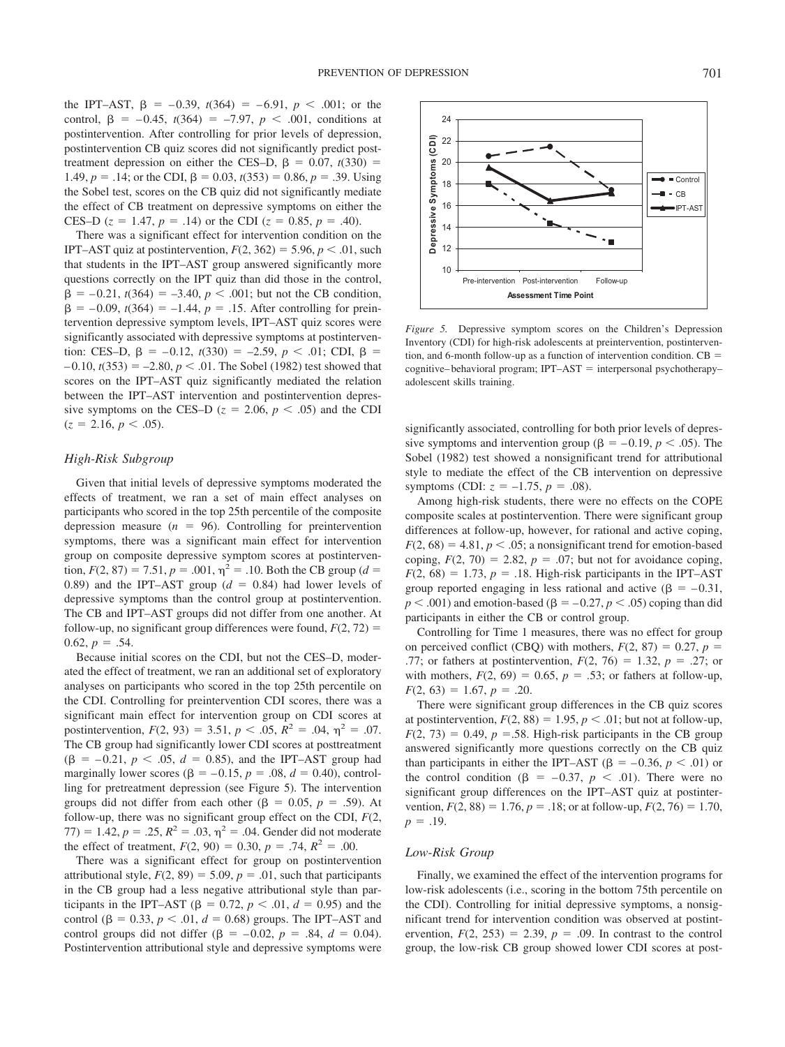the IPT–AST,  $\beta = -0.39$ ,  $t(364) = -6.91$ ,  $p < .001$ ; or the control,  $\beta = -0.45$ ,  $t(364) = -7.97$ ,  $p < .001$ , conditions at postintervention. After controlling for prior levels of depression, postintervention CB quiz scores did not significantly predict posttreatment depression on either the CES–D,  $\beta = 0.07$ ,  $t(330) =$ 1.49,  $p = .14$ ; or the CDI,  $\beta = 0.03$ ,  $t(353) = 0.86$ ,  $p = .39$ . Using the Sobel test, scores on the CB quiz did not significantly mediate the effect of CB treatment on depressive symptoms on either the CES–D ( $z = 1.47$ ,  $p = .14$ ) or the CDI ( $z = 0.85$ ,  $p = .40$ ).

There was a significant effect for intervention condition on the IPT–AST quiz at postintervention,  $F(2, 362) = 5.96$ ,  $p < .01$ , such that students in the IPT–AST group answered significantly more questions correctly on the IPT quiz than did those in the control,  $\beta = -0.21$ ,  $t(364) = -3.40$ ,  $p < .001$ ; but not the CB condition,  $\beta = -0.09$ ,  $t(364) = -1.44$ ,  $p = .15$ . After controlling for preintervention depressive symptom levels, IPT–AST quiz scores were significantly associated with depressive symptoms at postintervention: CES–D,  $\beta$  = -0.12,  $t(330)$  = -2.59,  $p < .01$ ; CDI,  $\beta$  =  $-0.10$ ,  $t(353) = -2.80$ ,  $p < .01$ . The Sobel (1982) test showed that scores on the IPT–AST quiz significantly mediated the relation between the IPT–AST intervention and postintervention depressive symptoms on the CES–D ( $z = 2.06$ ,  $p < .05$ ) and the CDI  $(z = 2.16, p < .05)$ .

# *High-Risk Subgroup*

Given that initial levels of depressive symptoms moderated the effects of treatment, we ran a set of main effect analyses on participants who scored in the top 25th percentile of the composite depression measure  $(n = 96)$ . Controlling for preintervention symptoms, there was a significant main effect for intervention group on composite depressive symptom scores at postintervention,  $F(2, 87) = 7.51$ ,  $p = .001$ ,  $\eta^2 = .10$ . Both the CB group (*d* = 0.89) and the IPT-AST group  $(d = 0.84)$  had lower levels of depressive symptoms than the control group at postintervention. The CB and IPT–AST groups did not differ from one another. At follow-up, no significant group differences were found,  $F(2, 72) =$ 0.62,  $p = .54$ .

Because initial scores on the CDI, but not the CES–D, moderated the effect of treatment, we ran an additional set of exploratory analyses on participants who scored in the top 25th percentile on the CDI. Controlling for preintervention CDI scores, there was a significant main effect for intervention group on CDI scores at postintervention,  $F(2, 93) = 3.51$ ,  $p < .05$ ,  $\overline{R^2} = .04$ ,  $\eta^2 = .07$ . The CB group had significantly lower CDI scores at posttreatment  $(\beta = -0.21, p < .05, d = 0.85)$ , and the IPT–AST group had marginally lower scores ( $\beta$  = -0.15,  $p$  = .08,  $d$  = 0.40), controlling for pretreatment depression (see Figure 5). The intervention groups did not differ from each other  $(\beta = 0.05, p = .59)$ . At follow-up, there was no significant group effect on the CDI, *F*(2,  $77$ ) = 1.42,  $p = .25$ ,  $R^2 = .03$ ,  $\eta^2 = .04$ . Gender did not moderate the effect of treatment,  $F(2, 90) = 0.30$ ,  $p = .74$ ,  $R^2 = .00$ .

There was a significant effect for group on postintervention attributional style,  $F(2, 89) = 5.09$ ,  $p = .01$ , such that participants in the CB group had a less negative attributional style than participants in the IPT–AST ( $\beta = 0.72$ ,  $p < .01$ ,  $d = 0.95$ ) and the control ( $\beta = 0.33, p < .01, d = 0.68$ ) groups. The IPT–AST and control groups did not differ ( $\beta$  = -0.02,  $p$  = .84,  $d$  = 0.04). Postintervention attributional style and depressive symptoms were



*Figure 5.* Depressive symptom scores on the Children's Depression Inventory (CDI) for high-risk adolescents at preintervention, postintervention, and 6-month follow-up as a function of intervention condition. CB cognitive–behavioral program;  $IPT-AST$  = interpersonal psychotherapy– adolescent skills training.

significantly associated, controlling for both prior levels of depressive symptoms and intervention group ( $\beta = -0.19$ ,  $p < .05$ ). The Sobel (1982) test showed a nonsignificant trend for attributional style to mediate the effect of the CB intervention on depressive symptoms (CDI:  $z = -1.75$ ,  $p = .08$ ).

Among high-risk students, there were no effects on the COPE composite scales at postintervention. There were significant group differences at follow-up, however, for rational and active coping,  $F(2, 68) = 4.81, p < .05$ ; a nonsignificant trend for emotion-based coping,  $F(2, 70) = 2.82$ ,  $p = .07$ ; but not for avoidance coping,  $F(2, 68) = 1.73$ ,  $p = .18$ . High-risk participants in the IPT–AST group reported engaging in less rational and active ( $\beta = -0.31$ ,  $p < .001$ ) and emotion-based ( $\beta = -0.27, p < .05$ ) coping than did participants in either the CB or control group.

Controlling for Time 1 measures, there was no effect for group on perceived conflict (CBQ) with mothers,  $F(2, 87) = 0.27$ ,  $p =$ .77; or fathers at postintervention,  $F(2, 76) = 1.32$ ,  $p = .27$ ; or with mothers,  $F(2, 69) = 0.65$ ,  $p = .53$ ; or fathers at follow-up,  $F(2, 63) = 1.67, p = .20.$ 

There were significant group differences in the CB quiz scores at postintervention,  $F(2, 88) = 1.95$ ,  $p < .01$ ; but not at follow-up,  $F(2, 73) = 0.49$ ,  $p = 0.58$ . High-risk participants in the CB group answered significantly more questions correctly on the CB quiz than participants in either the IPT–AST ( $\beta$  = -0.36,  $p$  < .01) or the control condition ( $\beta$  = -0.37,  $p$  < .01). There were no significant group differences on the IPT–AST quiz at postintervention,  $F(2, 88) = 1.76$ ,  $p = .18$ ; or at follow-up,  $F(2, 76) = 1.70$ ,  $p = .19$ .

#### *Low-Risk Group*

Finally, we examined the effect of the intervention programs for low-risk adolescents (i.e., scoring in the bottom 75th percentile on the CDI). Controlling for initial depressive symptoms, a nonsignificant trend for intervention condition was observed at postintervention,  $F(2, 253) = 2.39$ ,  $p = .09$ . In contrast to the control group, the low-risk CB group showed lower CDI scores at post-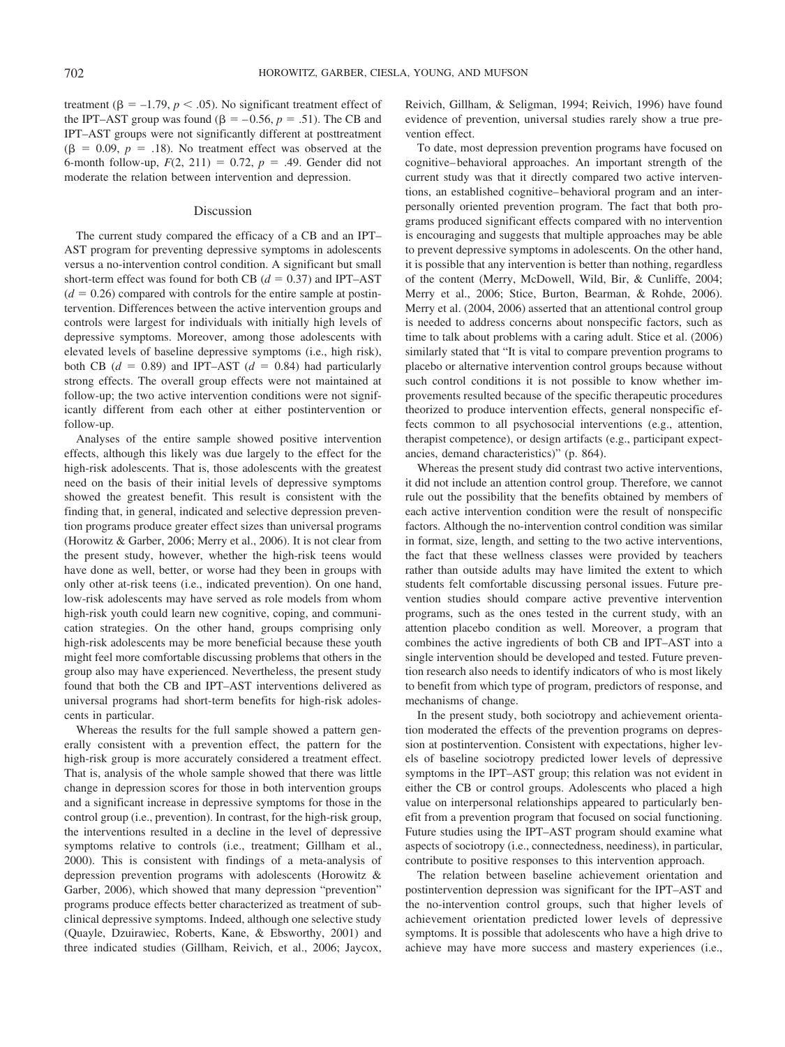treatment ( $\beta = -1.79$ ,  $p < .05$ ). No significant treatment effect of the IPT–AST group was found ( $\beta$  = -0.56,  $p$  = .51). The CB and IPT–AST groups were not significantly different at posttreatment  $(\beta = 0.09, p = .18)$ . No treatment effect was observed at the 6-month follow-up,  $F(2, 211) = 0.72$ ,  $p = .49$ . Gender did not moderate the relation between intervention and depression.

# Discussion

The current study compared the efficacy of a CB and an IPT– AST program for preventing depressive symptoms in adolescents versus a no-intervention control condition. A significant but small short-term effect was found for both CB  $(d = 0.37)$  and IPT–AST  $(d = 0.26)$  compared with controls for the entire sample at postintervention. Differences between the active intervention groups and controls were largest for individuals with initially high levels of depressive symptoms. Moreover, among those adolescents with elevated levels of baseline depressive symptoms (i.e., high risk), both CB  $(d = 0.89)$  and IPT–AST  $(d = 0.84)$  had particularly strong effects. The overall group effects were not maintained at follow-up; the two active intervention conditions were not significantly different from each other at either postintervention or follow-up.

Analyses of the entire sample showed positive intervention effects, although this likely was due largely to the effect for the high-risk adolescents. That is, those adolescents with the greatest need on the basis of their initial levels of depressive symptoms showed the greatest benefit. This result is consistent with the finding that, in general, indicated and selective depression prevention programs produce greater effect sizes than universal programs (Horowitz & Garber, 2006; Merry et al., 2006). It is not clear from the present study, however, whether the high-risk teens would have done as well, better, or worse had they been in groups with only other at-risk teens (i.e., indicated prevention). On one hand, low-risk adolescents may have served as role models from whom high-risk youth could learn new cognitive, coping, and communication strategies. On the other hand, groups comprising only high-risk adolescents may be more beneficial because these youth might feel more comfortable discussing problems that others in the group also may have experienced. Nevertheless, the present study found that both the CB and IPT–AST interventions delivered as universal programs had short-term benefits for high-risk adolescents in particular.

Whereas the results for the full sample showed a pattern generally consistent with a prevention effect, the pattern for the high-risk group is more accurately considered a treatment effect. That is, analysis of the whole sample showed that there was little change in depression scores for those in both intervention groups and a significant increase in depressive symptoms for those in the control group (i.e., prevention). In contrast, for the high-risk group, the interventions resulted in a decline in the level of depressive symptoms relative to controls (i.e., treatment; Gillham et al., 2000). This is consistent with findings of a meta-analysis of depression prevention programs with adolescents (Horowitz & Garber, 2006), which showed that many depression "prevention" programs produce effects better characterized as treatment of subclinical depressive symptoms. Indeed, although one selective study (Quayle, Dzuirawiec, Roberts, Kane, & Ebsworthy, 2001) and three indicated studies (Gillham, Reivich, et al., 2006; Jaycox, Reivich, Gillham, & Seligman, 1994; Reivich, 1996) have found evidence of prevention, universal studies rarely show a true prevention effect.

To date, most depression prevention programs have focused on cognitive– behavioral approaches. An important strength of the current study was that it directly compared two active interventions, an established cognitive– behavioral program and an interpersonally oriented prevention program. The fact that both programs produced significant effects compared with no intervention is encouraging and suggests that multiple approaches may be able to prevent depressive symptoms in adolescents. On the other hand, it is possible that any intervention is better than nothing, regardless of the content (Merry, McDowell, Wild, Bir, & Cunliffe, 2004; Merry et al., 2006; Stice, Burton, Bearman, & Rohde, 2006). Merry et al. (2004, 2006) asserted that an attentional control group is needed to address concerns about nonspecific factors, such as time to talk about problems with a caring adult. Stice et al. (2006) similarly stated that "It is vital to compare prevention programs to placebo or alternative intervention control groups because without such control conditions it is not possible to know whether improvements resulted because of the specific therapeutic procedures theorized to produce intervention effects, general nonspecific effects common to all psychosocial interventions (e.g., attention, therapist competence), or design artifacts (e.g., participant expectancies, demand characteristics)" (p. 864).

Whereas the present study did contrast two active interventions, it did not include an attention control group. Therefore, we cannot rule out the possibility that the benefits obtained by members of each active intervention condition were the result of nonspecific factors. Although the no-intervention control condition was similar in format, size, length, and setting to the two active interventions, the fact that these wellness classes were provided by teachers rather than outside adults may have limited the extent to which students felt comfortable discussing personal issues. Future prevention studies should compare active preventive intervention programs, such as the ones tested in the current study, with an attention placebo condition as well. Moreover, a program that combines the active ingredients of both CB and IPT–AST into a single intervention should be developed and tested. Future prevention research also needs to identify indicators of who is most likely to benefit from which type of program, predictors of response, and mechanisms of change.

In the present study, both sociotropy and achievement orientation moderated the effects of the prevention programs on depression at postintervention. Consistent with expectations, higher levels of baseline sociotropy predicted lower levels of depressive symptoms in the IPT–AST group; this relation was not evident in either the CB or control groups. Adolescents who placed a high value on interpersonal relationships appeared to particularly benefit from a prevention program that focused on social functioning. Future studies using the IPT–AST program should examine what aspects of sociotropy (i.e., connectedness, neediness), in particular, contribute to positive responses to this intervention approach.

The relation between baseline achievement orientation and postintervention depression was significant for the IPT–AST and the no-intervention control groups, such that higher levels of achievement orientation predicted lower levels of depressive symptoms. It is possible that adolescents who have a high drive to achieve may have more success and mastery experiences (i.e.,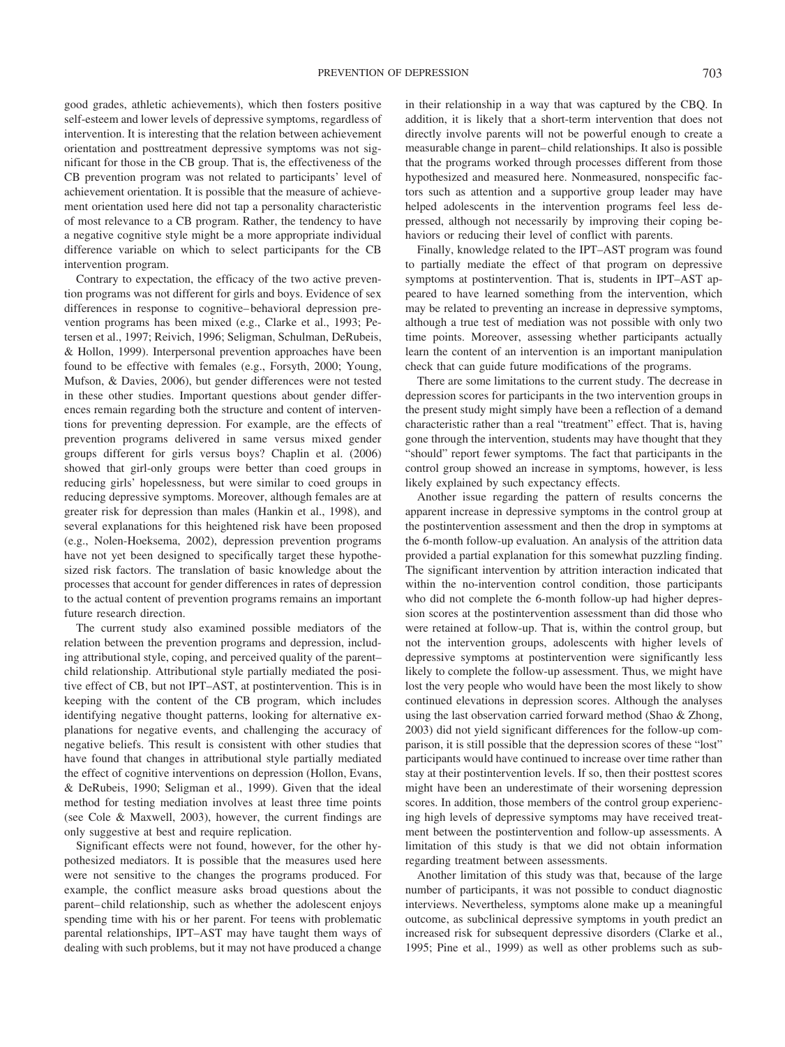good grades, athletic achievements), which then fosters positive self-esteem and lower levels of depressive symptoms, regardless of intervention. It is interesting that the relation between achievement orientation and posttreatment depressive symptoms was not significant for those in the CB group. That is, the effectiveness of the CB prevention program was not related to participants' level of achievement orientation. It is possible that the measure of achievement orientation used here did not tap a personality characteristic of most relevance to a CB program. Rather, the tendency to have a negative cognitive style might be a more appropriate individual difference variable on which to select participants for the CB intervention program.

Contrary to expectation, the efficacy of the two active prevention programs was not different for girls and boys. Evidence of sex differences in response to cognitive– behavioral depression prevention programs has been mixed (e.g., Clarke et al., 1993; Petersen et al., 1997; Reivich, 1996; Seligman, Schulman, DeRubeis, & Hollon, 1999). Interpersonal prevention approaches have been found to be effective with females (e.g., Forsyth, 2000; Young, Mufson, & Davies, 2006), but gender differences were not tested in these other studies. Important questions about gender differences remain regarding both the structure and content of interventions for preventing depression. For example, are the effects of prevention programs delivered in same versus mixed gender groups different for girls versus boys? Chaplin et al. (2006) showed that girl-only groups were better than coed groups in reducing girls' hopelessness, but were similar to coed groups in reducing depressive symptoms. Moreover, although females are at greater risk for depression than males (Hankin et al., 1998), and several explanations for this heightened risk have been proposed (e.g., Nolen-Hoeksema, 2002), depression prevention programs have not yet been designed to specifically target these hypothesized risk factors. The translation of basic knowledge about the processes that account for gender differences in rates of depression to the actual content of prevention programs remains an important future research direction.

The current study also examined possible mediators of the relation between the prevention programs and depression, including attributional style, coping, and perceived quality of the parent– child relationship. Attributional style partially mediated the positive effect of CB, but not IPT–AST, at postintervention. This is in keeping with the content of the CB program, which includes identifying negative thought patterns, looking for alternative explanations for negative events, and challenging the accuracy of negative beliefs. This result is consistent with other studies that have found that changes in attributional style partially mediated the effect of cognitive interventions on depression (Hollon, Evans, & DeRubeis, 1990; Seligman et al., 1999). Given that the ideal method for testing mediation involves at least three time points (see Cole & Maxwell, 2003), however, the current findings are only suggestive at best and require replication.

Significant effects were not found, however, for the other hypothesized mediators. It is possible that the measures used here were not sensitive to the changes the programs produced. For example, the conflict measure asks broad questions about the parent– child relationship, such as whether the adolescent enjoys spending time with his or her parent. For teens with problematic parental relationships, IPT–AST may have taught them ways of dealing with such problems, but it may not have produced a change in their relationship in a way that was captured by the CBQ. In addition, it is likely that a short-term intervention that does not directly involve parents will not be powerful enough to create a measurable change in parent– child relationships. It also is possible that the programs worked through processes different from those hypothesized and measured here. Nonmeasured, nonspecific factors such as attention and a supportive group leader may have helped adolescents in the intervention programs feel less depressed, although not necessarily by improving their coping behaviors or reducing their level of conflict with parents.

Finally, knowledge related to the IPT–AST program was found to partially mediate the effect of that program on depressive symptoms at postintervention. That is, students in IPT–AST appeared to have learned something from the intervention, which may be related to preventing an increase in depressive symptoms, although a true test of mediation was not possible with only two time points. Moreover, assessing whether participants actually learn the content of an intervention is an important manipulation check that can guide future modifications of the programs.

There are some limitations to the current study. The decrease in depression scores for participants in the two intervention groups in the present study might simply have been a reflection of a demand characteristic rather than a real "treatment" effect. That is, having gone through the intervention, students may have thought that they "should" report fewer symptoms. The fact that participants in the control group showed an increase in symptoms, however, is less likely explained by such expectancy effects.

Another issue regarding the pattern of results concerns the apparent increase in depressive symptoms in the control group at the postintervention assessment and then the drop in symptoms at the 6-month follow-up evaluation. An analysis of the attrition data provided a partial explanation for this somewhat puzzling finding. The significant intervention by attrition interaction indicated that within the no-intervention control condition, those participants who did not complete the 6-month follow-up had higher depression scores at the postintervention assessment than did those who were retained at follow-up. That is, within the control group, but not the intervention groups, adolescents with higher levels of depressive symptoms at postintervention were significantly less likely to complete the follow-up assessment. Thus, we might have lost the very people who would have been the most likely to show continued elevations in depression scores. Although the analyses using the last observation carried forward method (Shao & Zhong, 2003) did not yield significant differences for the follow-up comparison, it is still possible that the depression scores of these "lost" participants would have continued to increase over time rather than stay at their postintervention levels. If so, then their posttest scores might have been an underestimate of their worsening depression scores. In addition, those members of the control group experiencing high levels of depressive symptoms may have received treatment between the postintervention and follow-up assessments. A limitation of this study is that we did not obtain information regarding treatment between assessments.

Another limitation of this study was that, because of the large number of participants, it was not possible to conduct diagnostic interviews. Nevertheless, symptoms alone make up a meaningful outcome, as subclinical depressive symptoms in youth predict an increased risk for subsequent depressive disorders (Clarke et al., 1995; Pine et al., 1999) as well as other problems such as sub-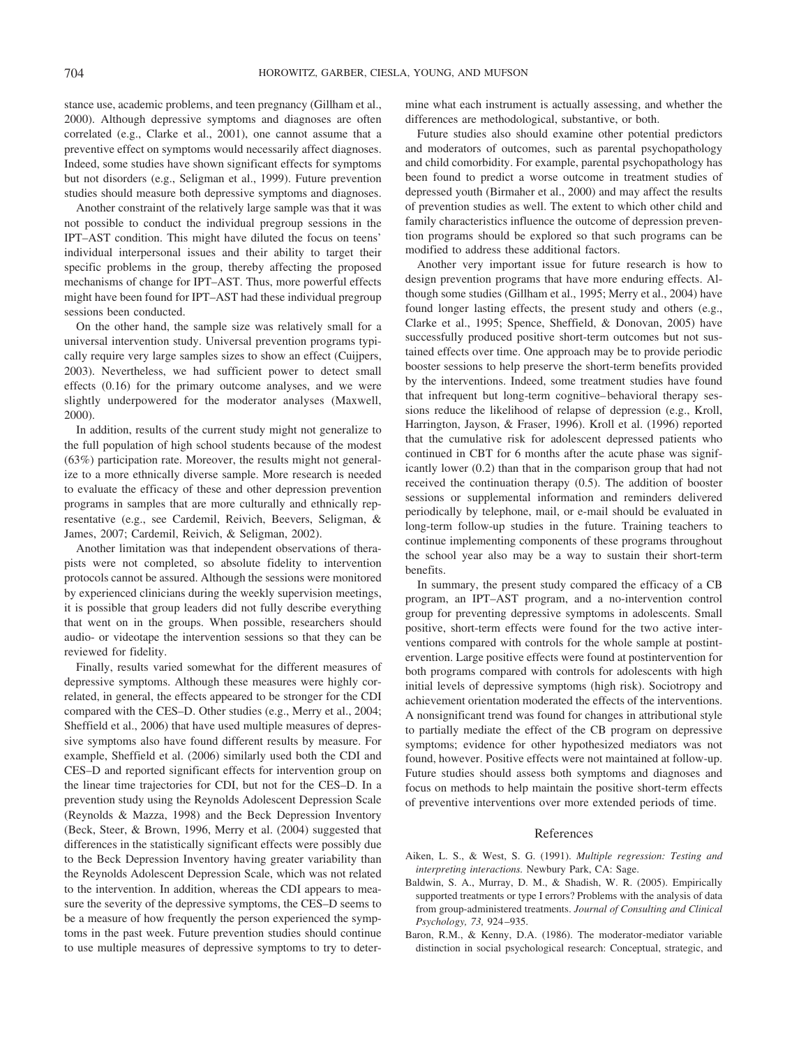stance use, academic problems, and teen pregnancy (Gillham et al., 2000). Although depressive symptoms and diagnoses are often correlated (e.g., Clarke et al., 2001), one cannot assume that a preventive effect on symptoms would necessarily affect diagnoses. Indeed, some studies have shown significant effects for symptoms but not disorders (e.g., Seligman et al., 1999). Future prevention studies should measure both depressive symptoms and diagnoses.

Another constraint of the relatively large sample was that it was not possible to conduct the individual pregroup sessions in the IPT–AST condition. This might have diluted the focus on teens' individual interpersonal issues and their ability to target their specific problems in the group, thereby affecting the proposed mechanisms of change for IPT–AST. Thus, more powerful effects might have been found for IPT–AST had these individual pregroup sessions been conducted.

On the other hand, the sample size was relatively small for a universal intervention study. Universal prevention programs typically require very large samples sizes to show an effect (Cuijpers, 2003). Nevertheless, we had sufficient power to detect small effects (0.16) for the primary outcome analyses, and we were slightly underpowered for the moderator analyses (Maxwell, 2000).

In addition, results of the current study might not generalize to the full population of high school students because of the modest (63%) participation rate. Moreover, the results might not generalize to a more ethnically diverse sample. More research is needed to evaluate the efficacy of these and other depression prevention programs in samples that are more culturally and ethnically representative (e.g., see Cardemil, Reivich, Beevers, Seligman, & James, 2007; Cardemil, Reivich, & Seligman, 2002).

Another limitation was that independent observations of therapists were not completed, so absolute fidelity to intervention protocols cannot be assured. Although the sessions were monitored by experienced clinicians during the weekly supervision meetings, it is possible that group leaders did not fully describe everything that went on in the groups. When possible, researchers should audio- or videotape the intervention sessions so that they can be reviewed for fidelity.

Finally, results varied somewhat for the different measures of depressive symptoms. Although these measures were highly correlated, in general, the effects appeared to be stronger for the CDI compared with the CES–D. Other studies (e.g., Merry et al., 2004; Sheffield et al., 2006) that have used multiple measures of depressive symptoms also have found different results by measure. For example, Sheffield et al. (2006) similarly used both the CDI and CES–D and reported significant effects for intervention group on the linear time trajectories for CDI, but not for the CES–D. In a prevention study using the Reynolds Adolescent Depression Scale (Reynolds & Mazza, 1998) and the Beck Depression Inventory (Beck, Steer, & Brown, 1996, Merry et al. (2004) suggested that differences in the statistically significant effects were possibly due to the Beck Depression Inventory having greater variability than the Reynolds Adolescent Depression Scale, which was not related to the intervention. In addition, whereas the CDI appears to measure the severity of the depressive symptoms, the CES–D seems to be a measure of how frequently the person experienced the symptoms in the past week. Future prevention studies should continue to use multiple measures of depressive symptoms to try to determine what each instrument is actually assessing, and whether the differences are methodological, substantive, or both.

Future studies also should examine other potential predictors and moderators of outcomes, such as parental psychopathology and child comorbidity. For example, parental psychopathology has been found to predict a worse outcome in treatment studies of depressed youth (Birmaher et al., 2000) and may affect the results of prevention studies as well. The extent to which other child and family characteristics influence the outcome of depression prevention programs should be explored so that such programs can be modified to address these additional factors.

Another very important issue for future research is how to design prevention programs that have more enduring effects. Although some studies (Gillham et al., 1995; Merry et al., 2004) have found longer lasting effects, the present study and others (e.g., Clarke et al., 1995; Spence, Sheffield, & Donovan, 2005) have successfully produced positive short-term outcomes but not sustained effects over time. One approach may be to provide periodic booster sessions to help preserve the short-term benefits provided by the interventions. Indeed, some treatment studies have found that infrequent but long-term cognitive– behavioral therapy sessions reduce the likelihood of relapse of depression (e.g., Kroll, Harrington, Jayson, & Fraser, 1996). Kroll et al. (1996) reported that the cumulative risk for adolescent depressed patients who continued in CBT for 6 months after the acute phase was significantly lower (0.2) than that in the comparison group that had not received the continuation therapy (0.5). The addition of booster sessions or supplemental information and reminders delivered periodically by telephone, mail, or e-mail should be evaluated in long-term follow-up studies in the future. Training teachers to continue implementing components of these programs throughout the school year also may be a way to sustain their short-term benefits.

In summary, the present study compared the efficacy of a CB program, an IPT–AST program, and a no-intervention control group for preventing depressive symptoms in adolescents. Small positive, short-term effects were found for the two active interventions compared with controls for the whole sample at postintervention. Large positive effects were found at postintervention for both programs compared with controls for adolescents with high initial levels of depressive symptoms (high risk). Sociotropy and achievement orientation moderated the effects of the interventions. A nonsignificant trend was found for changes in attributional style to partially mediate the effect of the CB program on depressive symptoms; evidence for other hypothesized mediators was not found, however. Positive effects were not maintained at follow-up. Future studies should assess both symptoms and diagnoses and focus on methods to help maintain the positive short-term effects of preventive interventions over more extended periods of time.

#### References

- Aiken, L. S., & West, S. G. (1991). *Multiple regression: Testing and interpreting interactions.* Newbury Park, CA: Sage.
- Baldwin, S. A., Murray, D. M., & Shadish, W. R. (2005). Empirically supported treatments or type I errors? Problems with the analysis of data from group-administered treatments. *Journal of Consulting and Clinical Psychology, 73,* 924 –935.
- Baron, R.M., & Kenny, D.A. (1986). The moderator-mediator variable distinction in social psychological research: Conceptual, strategic, and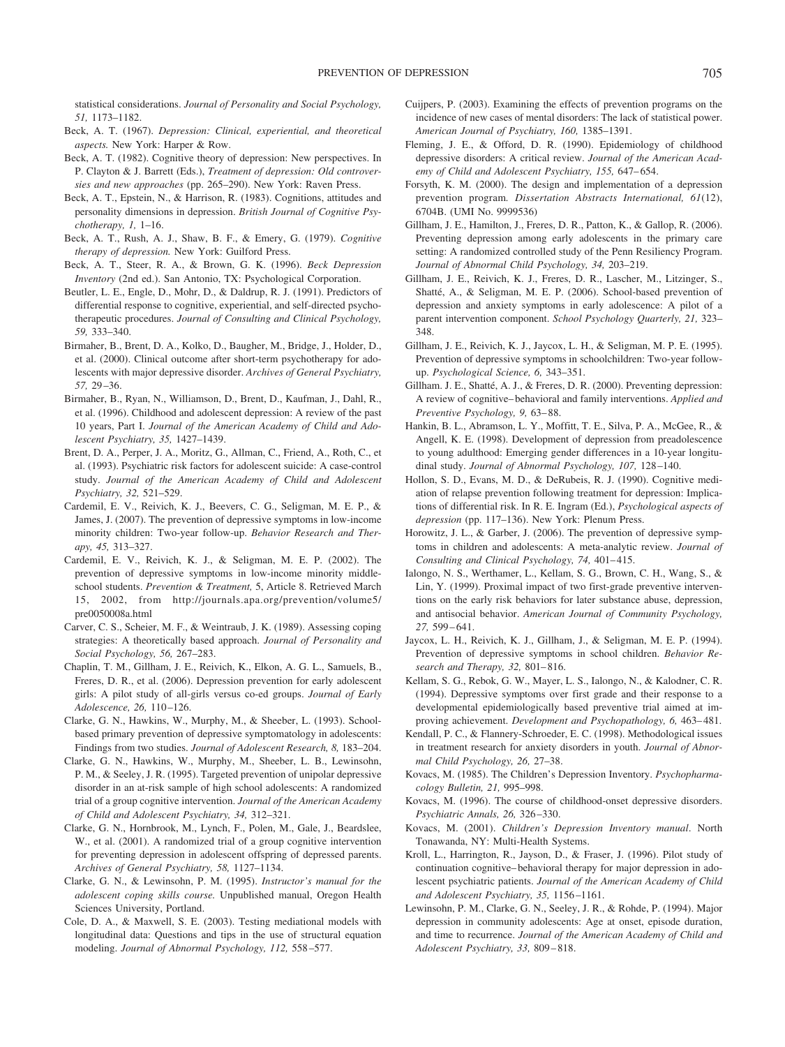statistical considerations. *Journal of Personality and Social Psychology, 51,* 1173–1182.

- Beck, A. T. (1967). *Depression: Clinical, experiential, and theoretical aspects.* New York: Harper & Row.
- Beck, A. T. (1982). Cognitive theory of depression: New perspectives. In P. Clayton & J. Barrett (Eds.), *Treatment of depression: Old controversies and new approaches* (pp. 265–290). New York: Raven Press.
- Beck, A. T., Epstein, N., & Harrison, R. (1983). Cognitions, attitudes and personality dimensions in depression. *British Journal of Cognitive Psychotherapy, 1,* 1–16.
- Beck, A. T., Rush, A. J., Shaw, B. F., & Emery, G. (1979). *Cognitive therapy of depression.* New York: Guilford Press.
- Beck, A. T., Steer, R. A., & Brown, G. K. (1996). *Beck Depression Inventory* (2nd ed.). San Antonio, TX: Psychological Corporation.
- Beutler, L. E., Engle, D., Mohr, D., & Daldrup, R. J. (1991). Predictors of differential response to cognitive, experiential, and self-directed psychotherapeutic procedures. *Journal of Consulting and Clinical Psychology, 59,* 333–340.
- Birmaher, B., Brent, D. A., Kolko, D., Baugher, M., Bridge, J., Holder, D., et al. (2000). Clinical outcome after short-term psychotherapy for adolescents with major depressive disorder. *Archives of General Psychiatry, 57,* 29 –36.
- Birmaher, B., Ryan, N., Williamson, D., Brent, D., Kaufman, J., Dahl, R., et al. (1996). Childhood and adolescent depression: A review of the past 10 years, Part I. *Journal of the American Academy of Child and Adolescent Psychiatry, 35,* 1427–1439.
- Brent, D. A., Perper, J. A., Moritz, G., Allman, C., Friend, A., Roth, C., et al. (1993). Psychiatric risk factors for adolescent suicide: A case-control study. *Journal of the American Academy of Child and Adolescent Psychiatry, 32,* 521–529.
- Cardemil, E. V., Reivich, K. J., Beevers, C. G., Seligman, M. E. P., & James, J. (2007). The prevention of depressive symptoms in low-income minority children: Two-year follow-up. *Behavior Research and Therapy, 45,* 313–327.
- Cardemil, E. V., Reivich, K. J., & Seligman, M. E. P. (2002). The prevention of depressive symptoms in low-income minority middleschool students. *Prevention & Treatment,* 5, Article 8. Retrieved March 15, 2002, from http://journals.apa.org/prevention/volume5/ pre0050008a.html
- Carver, C. S., Scheier, M. F., & Weintraub, J. K. (1989). Assessing coping strategies: A theoretically based approach. *Journal of Personality and Social Psychology, 56,* 267–283.
- Chaplin, T. M., Gillham, J. E., Reivich, K., Elkon, A. G. L., Samuels, B., Freres, D. R., et al. (2006). Depression prevention for early adolescent girls: A pilot study of all-girls versus co-ed groups. *Journal of Early Adolescence, 26,* 110 –126.
- Clarke, G. N., Hawkins, W., Murphy, M., & Sheeber, L. (1993). Schoolbased primary prevention of depressive symptomatology in adolescents: Findings from two studies. *Journal of Adolescent Research, 8,* 183–204.
- Clarke, G. N., Hawkins, W., Murphy, M., Sheeber, L. B., Lewinsohn, P. M., & Seeley, J. R. (1995). Targeted prevention of unipolar depressive disorder in an at-risk sample of high school adolescents: A randomized trial of a group cognitive intervention. *Journal of the American Academy of Child and Adolescent Psychiatry, 34,* 312–321.
- Clarke, G. N., Hornbrook, M., Lynch, F., Polen, M., Gale, J., Beardslee, W., et al. (2001). A randomized trial of a group cognitive intervention for preventing depression in adolescent offspring of depressed parents. *Archives of General Psychiatry, 58,* 1127–1134.
- Clarke, G. N., & Lewinsohn, P. M. (1995). *Instructor's manual for the adolescent coping skills course.* Unpublished manual, Oregon Health Sciences University, Portland.
- Cole, D. A., & Maxwell, S. E. (2003). Testing mediational models with longitudinal data: Questions and tips in the use of structural equation modeling. *Journal of Abnormal Psychology, 112,* 558 –577.
- Cuijpers, P. (2003). Examining the effects of prevention programs on the incidence of new cases of mental disorders: The lack of statistical power. *American Journal of Psychiatry, 160,* 1385–1391.
- Fleming, J. E., & Offord, D. R. (1990). Epidemiology of childhood depressive disorders: A critical review. *Journal of the American Acad*emy of Child and Adolescent Psychiatry, 155, 647-654.
- Forsyth, K. M. (2000). The design and implementation of a depression prevention program*. Dissertation Abstracts International, 61*(12), 6704B. (UMI No. 9999536)
- Gillham, J. E., Hamilton, J., Freres, D. R., Patton, K., & Gallop, R. (2006). Preventing depression among early adolescents in the primary care setting: A randomized controlled study of the Penn Resiliency Program. *Journal of Abnormal Child Psychology, 34,* 203–219.
- Gillham, J. E., Reivich, K. J., Freres, D. R., Lascher, M., Litzinger, S., Shatté, A., & Seligman, M. E. P. (2006). School-based prevention of depression and anxiety symptoms in early adolescence: A pilot of a parent intervention component. *School Psychology Quarterly, 21,* 323– 348.
- Gillham, J. E., Reivich, K. J., Jaycox, L. H., & Seligman, M. P. E. (1995). Prevention of depressive symptoms in schoolchildren: Two-year followup. *Psychological Science, 6,* 343–351.
- Gillham. J. E., Shatté, A. J., & Freres, D. R. (2000). Preventing depression: A review of cognitive– behavioral and family interventions. *Applied and Preventive Psychology, 9,* 63– 88.
- Hankin, B. L., Abramson, L. Y., Moffitt, T. E., Silva, P. A., McGee, R., & Angell, K. E. (1998). Development of depression from preadolescence to young adulthood: Emerging gender differences in a 10-year longitudinal study. *Journal of Abnormal Psychology, 107, 128-140*.
- Hollon, S. D., Evans, M. D., & DeRubeis, R. J. (1990). Cognitive mediation of relapse prevention following treatment for depression: Implications of differential risk. In R. E. Ingram (Ed.), *Psychological aspects of depression* (pp. 117–136). New York: Plenum Press.
- Horowitz, J. L., & Garber, J. (2006). The prevention of depressive symptoms in children and adolescents: A meta-analytic review. *Journal of Consulting and Clinical Psychology, 74,* 401– 415.
- Ialongo, N. S., Werthamer, L., Kellam, S. G., Brown, C. H., Wang, S., & Lin, Y. (1999). Proximal impact of two first-grade preventive interventions on the early risk behaviors for later substance abuse, depression, and antisocial behavior. *American Journal of Community Psychology, 27,* 599 – 641.
- Jaycox, L. H., Reivich, K. J., Gillham, J., & Seligman, M. E. P. (1994). Prevention of depressive symptoms in school children. *Behavior Research and Therapy, 32,* 801– 816.
- Kellam, S. G., Rebok, G. W., Mayer, L. S., Ialongo, N., & Kalodner, C. R. (1994). Depressive symptoms over first grade and their response to a developmental epidemiologically based preventive trial aimed at improving achievement. *Development and Psychopathology, 6,* 463– 481.
- Kendall, P. C., & Flannery-Schroeder, E. C. (1998). Methodological issues in treatment research for anxiety disorders in youth. *Journal of Abnormal Child Psychology, 26,* 27–38.
- Kovacs, M. (1985). The Children's Depression Inventory. *Psychopharmacology Bulletin, 21,* 995–998.
- Kovacs, M. (1996). The course of childhood-onset depressive disorders. *Psychiatric Annals, 26,* 326 –330.
- Kovacs, M. (2001). *Children's Depression Inventory manual*. North Tonawanda, NY: Multi-Health Systems.
- Kroll, L., Harrington, R., Jayson, D., & Fraser, J. (1996). Pilot study of continuation cognitive– behavioral therapy for major depression in adolescent psychiatric patients. *Journal of the American Academy of Child and Adolescent Psychiatry, 35,* 1156 –1161.
- Lewinsohn, P. M., Clarke, G. N., Seeley, J. R., & Rohde, P. (1994). Major depression in community adolescents: Age at onset, episode duration, and time to recurrence. *Journal of the American Academy of Child and Adolescent Psychiatry, 33,* 809 – 818.